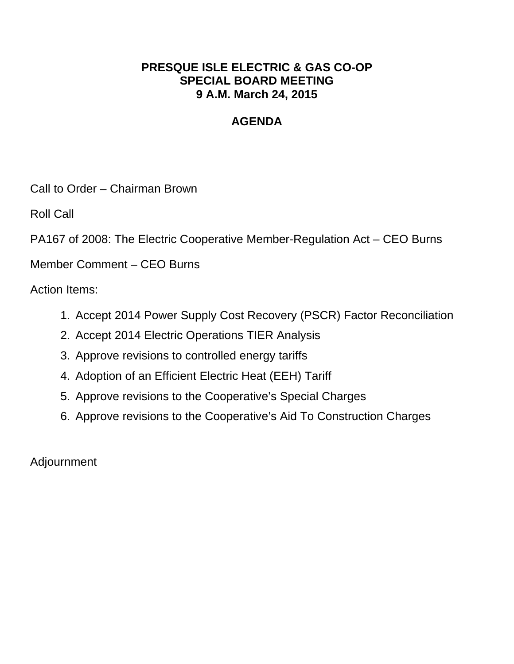## **PRESQUE ISLE ELECTRIC & GAS CO-OP SPECIAL BOARD MEETING 9 A.M. March 24, 2015**

# **AGENDA**

Call to Order – Chairman Brown

Roll Call

PA167 of 2008: The Electric Cooperative Member-Regulation Act – CEO Burns

Member Comment – CEO Burns

Action Items:

- 1. Accept 2014 Power Supply Cost Recovery (PSCR) Factor Reconciliation
- 2. Accept 2014 Electric Operations TIER Analysis
- 3. Approve revisions to controlled energy tariffs
- 4. Adoption of an Efficient Electric Heat (EEH) Tariff
- 5. Approve revisions to the Cooperative's Special Charges
- 6. Approve revisions to the Cooperative's Aid To Construction Charges

Adjournment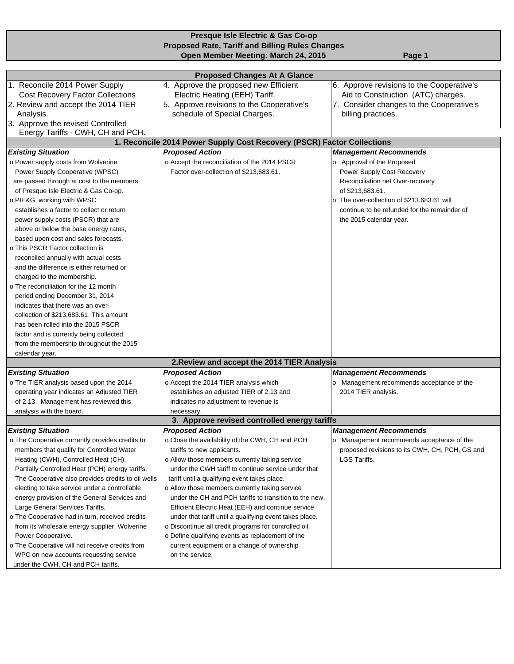| Presque Isle Electric & Gas Co-op                  |                                                                        |                                                |  |  |  |
|----------------------------------------------------|------------------------------------------------------------------------|------------------------------------------------|--|--|--|
|                                                    | <b>Proposed Rate, Tariff and Billing Rules Changes</b>                 |                                                |  |  |  |
|                                                    | Open Member Meeting: March 24, 2015                                    | Page 1                                         |  |  |  |
|                                                    |                                                                        |                                                |  |  |  |
|                                                    | <b>Proposed Changes At A Glance</b>                                    |                                                |  |  |  |
| 1. Reconcile 2014 Power Supply                     | 4. Approve the proposed new Efficient                                  | 6. Approve revisions to the Cooperative's      |  |  |  |
| <b>Cost Recovery Factor Collections</b>            | Electric Heating (EEH) Tariff.                                         | Aid to Construction (ATC) charges.             |  |  |  |
| 2. Review and accept the 2014 TIER                 | 5. Approve revisions to the Cooperative's                              | 7. Consider changes to the Cooperative's       |  |  |  |
| Analysis.                                          | schedule of Special Charges.                                           | billing practices.                             |  |  |  |
| 3. Approve the revised Controlled                  |                                                                        |                                                |  |  |  |
| Energy Tariffs - CWH, CH and PCH.                  |                                                                        |                                                |  |  |  |
|                                                    | 1. Reconcile 2014 Power Supply Cost Recovery (PSCR) Factor Collections |                                                |  |  |  |
| <b>Existing Situation</b>                          | <b>Proposed Action</b>                                                 | <b>Management Recommends</b>                   |  |  |  |
| o Power supply costs from Wolverine                | o Accept the reconciliation of the 2014 PSCR                           | o Approval of the Proposed                     |  |  |  |
| Power Supply Cooperative (WPSC)                    | Factor over-collection of \$213,683.61.                                | Power Supply Cost Recovery                     |  |  |  |
| are passed through at cost to the members          |                                                                        | Reconciliation net Over-recovery               |  |  |  |
| of Presque Isle Electric & Gas Co-op.              |                                                                        | of \$213,683.61.                               |  |  |  |
| o PIE&G, working with WPSC                         |                                                                        | o The over-collection of \$213,683.61 will     |  |  |  |
| establishes a factor to collect or return          |                                                                        | continue to be refunded for the remainder of   |  |  |  |
| power supply costs (PSCR) that are                 |                                                                        | the 2015 calendar year.                        |  |  |  |
| above or below the base energy rates,              |                                                                        |                                                |  |  |  |
| based upon cost and sales forecasts.               |                                                                        |                                                |  |  |  |
| o This PSCR Factor collection is                   |                                                                        |                                                |  |  |  |
| reconciled annually with actual costs              |                                                                        |                                                |  |  |  |
| and the difference is either returned or           |                                                                        |                                                |  |  |  |
| charged to the membership.                         |                                                                        |                                                |  |  |  |
| o The reconciliation for the 12 month              |                                                                        |                                                |  |  |  |
| period ending December 31, 2014                    |                                                                        |                                                |  |  |  |
| indicates that there was an over-                  |                                                                        |                                                |  |  |  |
| collection of \$213,683.61 This amount             |                                                                        |                                                |  |  |  |
| has been rolled into the 2015 PSCR                 |                                                                        |                                                |  |  |  |
| factor and is currently being collected            |                                                                        |                                                |  |  |  |
| from the membership throughout the 2015            |                                                                        |                                                |  |  |  |
| calendar year.                                     |                                                                        |                                                |  |  |  |
|                                                    | 2. Review and accept the 2014 TIER Analysis                            |                                                |  |  |  |
| <b>Existing Situation</b>                          | <b>Proposed Action</b>                                                 | <b>Management Recommends</b>                   |  |  |  |
| o The TIER analysis based upon the 2014            | o Accept the 2014 TIER analysis which                                  | o Management recommends acceptance of the      |  |  |  |
| operating year indicates an Adjusted TIER          | establishes an adjusted TIER of 2.13 and                               | 2014 TIER analysis.                            |  |  |  |
| of 2.13. Management has reviewed this              | indicates no adjustment to revenue is                                  |                                                |  |  |  |
| analysis with the board.                           | necessary.                                                             |                                                |  |  |  |
|                                                    | 3. Approve revised controlled energy tariffs                           |                                                |  |  |  |
| <b>Existing Situation</b>                          | <b>Proposed Action</b>                                                 | <b>Management Recommends</b>                   |  |  |  |
| o The Cooperative currently provides credits to    | o Close the availability of the CWH, CH and PCH                        | o Management recommends acceptance of the      |  |  |  |
| members that qualify for Controlled Water          | tariffs to new applicants.                                             | proposed revisions to its CWH, CH, PCH, GS and |  |  |  |
| Heating (CWH), Controlled Heat (CH),               | o Allow those members currently taking service                         | LGS Tariffs.                                   |  |  |  |
| Partially Controlled Heat (PCH) energy tariffs.    | under the CWH tariff to continue service under that                    |                                                |  |  |  |
| The Cooperative also provides credits to oil wells | tariff until a qualifying event takes place.                           |                                                |  |  |  |
| electing to take service under a controllable      | o Allow those members currently taking service                         |                                                |  |  |  |
| energy provision of the General Services and       | under the CH and PCH tariffs to transition to the new,                 |                                                |  |  |  |
| Large General Services Tariffs.                    | Efficient Electric Heat (EEH) and continue service                     |                                                |  |  |  |
| o The Cooperative had in turn, received credits    | under that tariff until a qualifying event takes place.                |                                                |  |  |  |
| from its wholesale energy supplier, Wolverine      | o Discontinue all credit programs for controlled oil.                  |                                                |  |  |  |
| Power Cooperative.                                 | o Define qualifying events as replacement of the                       |                                                |  |  |  |
| o The Cooperative will not receive credits from    | current equipment or a change of ownership                             |                                                |  |  |  |
| WPC on new accounts requesting service             | on the service.                                                        |                                                |  |  |  |
| under the CWH, CH and PCH tariffs.                 |                                                                        |                                                |  |  |  |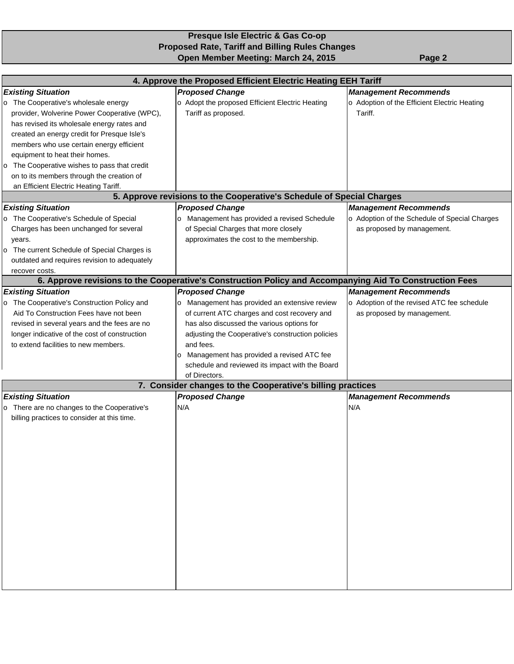### **Presque Isle Electric & Gas Co-op Proposed Rate, Tariff and Billing Rules Changes Open Member Meeting: March 24, 2015** Page 2

|                                                            | 4. Approve the Proposed Efficient Electric Heating EEH Tariff                                           |                                               |
|------------------------------------------------------------|---------------------------------------------------------------------------------------------------------|-----------------------------------------------|
| <b>Existing Situation</b>                                  | <b>Proposed Change</b>                                                                                  | <b>Management Recommends</b>                  |
| The Cooperative's wholesale energy<br>o                    | o Adopt the proposed Efficient Electric Heating                                                         | o Adoption of the Efficient Electric Heating  |
| provider, Wolverine Power Cooperative (WPC),               | Tariff as proposed.                                                                                     | Tariff.                                       |
| has revised its wholesale energy rates and                 |                                                                                                         |                                               |
| created an energy credit for Presque Isle's                |                                                                                                         |                                               |
| members who use certain energy efficient                   |                                                                                                         |                                               |
| equipment to heat their homes.                             |                                                                                                         |                                               |
| The Cooperative wishes to pass that credit<br>$\mathbf{o}$ |                                                                                                         |                                               |
| on to its members through the creation of                  |                                                                                                         |                                               |
| an Efficient Electric Heating Tariff.                      |                                                                                                         |                                               |
|                                                            | 5. Approve revisions to the Cooperative's Schedule of Special Charges                                   |                                               |
| <b>Existing Situation</b>                                  | <b>Proposed Change</b>                                                                                  | <b>Management Recommends</b>                  |
| The Cooperative's Schedule of Special<br>O                 | Management has provided a revised Schedule<br>o                                                         | o Adoption of the Schedule of Special Charges |
| Charges has been unchanged for several                     | of Special Charges that more closely                                                                    | as proposed by management.                    |
| years.                                                     | approximates the cost to the membership.                                                                |                                               |
| The current Schedule of Special Charges is<br>$\circ$      |                                                                                                         |                                               |
| outdated and requires revision to adequately               |                                                                                                         |                                               |
| recover costs.                                             |                                                                                                         |                                               |
|                                                            | 6. Approve revisions to the Cooperative's Construction Policy and Accompanying Aid To Construction Fees |                                               |
| <b>Existing Situation</b>                                  | <b>Proposed Change</b>                                                                                  | <b>Management Recommends</b>                  |
| The Cooperative's Construction Policy and<br>O             | o Management has provided an extensive review                                                           | o Adoption of the revised ATC fee schedule    |
| Aid To Construction Fees have not been                     | of current ATC charges and cost recovery and                                                            | as proposed by management.                    |
| revised in several years and the fees are no               | has also discussed the various options for                                                              |                                               |
| longer indicative of the cost of construction              | adjusting the Cooperative's construction policies                                                       |                                               |
| to extend facilities to new members.                       | and fees.                                                                                               |                                               |
|                                                            | Management has provided a revised ATC fee<br>0                                                          |                                               |
|                                                            | schedule and reviewed its impact with the Board                                                         |                                               |
|                                                            | of Directors.<br>7. Consider changes to the Cooperative's billing practices                             |                                               |
| <b>Existing Situation</b>                                  | <b>Proposed Change</b>                                                                                  | <b>Management Recommends</b>                  |
| There are no changes to the Cooperative's<br>O             | N/A                                                                                                     | N/A                                           |
| billing practices to consider at this time.                |                                                                                                         |                                               |
|                                                            |                                                                                                         |                                               |
|                                                            |                                                                                                         |                                               |
|                                                            |                                                                                                         |                                               |
|                                                            |                                                                                                         |                                               |
|                                                            |                                                                                                         |                                               |
|                                                            |                                                                                                         |                                               |
|                                                            |                                                                                                         |                                               |
|                                                            |                                                                                                         |                                               |
|                                                            |                                                                                                         |                                               |
|                                                            |                                                                                                         |                                               |
|                                                            |                                                                                                         |                                               |
|                                                            |                                                                                                         |                                               |
|                                                            |                                                                                                         |                                               |
|                                                            |                                                                                                         |                                               |
|                                                            |                                                                                                         |                                               |
|                                                            |                                                                                                         |                                               |
|                                                            |                                                                                                         |                                               |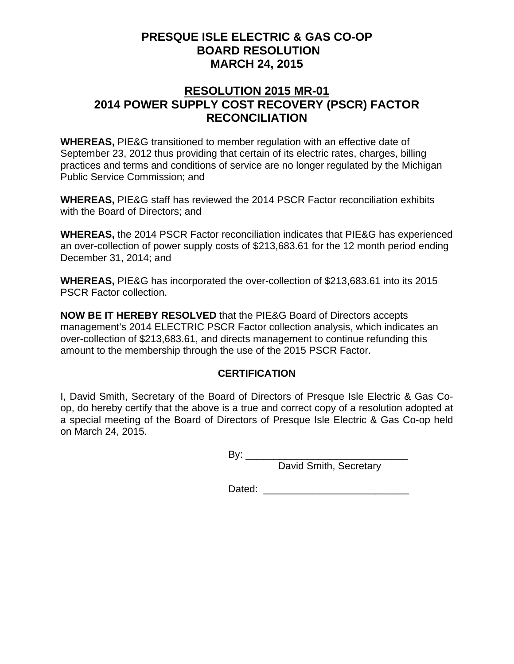### **RESOLUTION 2015 MR-01 2014 POWER SUPPLY COST RECOVERY (PSCR) FACTOR RECONCILIATION**

**WHEREAS,** PIE&G transitioned to member regulation with an effective date of September 23, 2012 thus providing that certain of its electric rates, charges, billing practices and terms and conditions of service are no longer regulated by the Michigan Public Service Commission; and

**WHEREAS,** PIE&G staff has reviewed the 2014 PSCR Factor reconciliation exhibits with the Board of Directors; and

**WHEREAS,** the 2014 PSCR Factor reconciliation indicates that PIE&G has experienced an over-collection of power supply costs of \$213,683.61 for the 12 month period ending December 31, 2014; and

**WHEREAS,** PIE&G has incorporated the over-collection of \$213,683.61 into its 2015 PSCR Factor collection.

**NOW BE IT HEREBY RESOLVED** that the PIE&G Board of Directors accepts management's 2014 ELECTRIC PSCR Factor collection analysis, which indicates an over-collection of \$213,683.61, and directs management to continue refunding this amount to the membership through the use of the 2015 PSCR Factor.

### **CERTIFICATION**

I, David Smith, Secretary of the Board of Directors of Presque Isle Electric & Gas Coop, do hereby certify that the above is a true and correct copy of a resolution adopted at a special meeting of the Board of Directors of Presque Isle Electric & Gas Co-op held on March 24, 2015.

By: \_\_\_\_\_\_\_\_\_\_\_\_\_\_\_\_\_\_\_\_\_\_\_\_\_\_\_\_\_

David Smith, Secretary

Dated:  $\Box$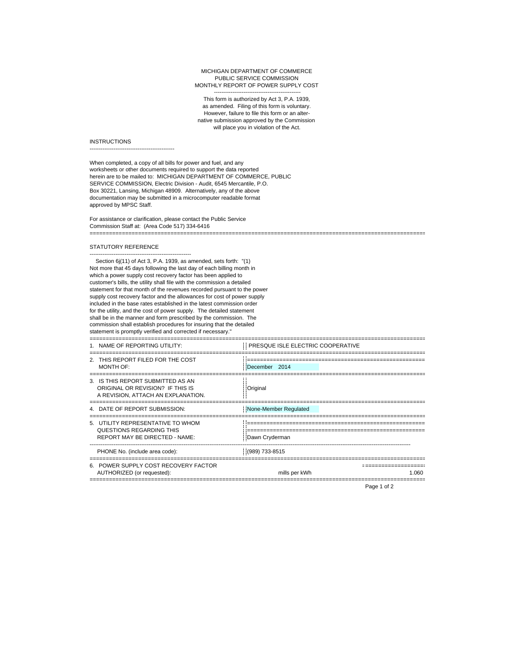#### ----------------------------------------------- MICHIGAN DEPARTMENT OF COMMERCE PUBLIC SERVICE COMMISSION MONTHLY REPORT OF POWER SUPPLY COST

This form is authorized by Act 3, P.A. 1939, as amended. Filing of this form is voluntary. However, failure to file this form or an alternative submission approved by the Commission will place you in violation of the Act.

#### **INSTRUCTIONS**

----------------------------------------------

When completed, a copy of all bills for power and fuel, and any worksheets or other documents required to support the data reported herein are to be mailed to: MICHIGAN DEPARTMENT OF COMMERCE, PUBLIC SERVICE COMMISSION, Electric Division - Audit, 6545 Mercantile, P.O. Box 30221, Lansing, Michigan 48909. Alternatively, any of the above documentation may be submitted in a microcomputer readable format approved by MPSC Staff.

For assistance or clarification, please contact the Public Service Commission Staff at: (Area Code 517) 334-6416 ========================================================================================================

#### STATUTORY REFERENCE

-------------------------------------------------------

Section 6j(11) of Act 3, P.A. 1939, as amended, sets forth: "(1) Not more that 45 days following the last day of each billing month in which a power supply cost recovery factor has been applied to customer's bills, the utility shall file with the commission a detailed statement for that month of the revenues recorded pursuant to the power supply cost recovery factor and the allowances for cost of power supply included in the base rates established in the latest commission order for the utility, and the cost of power supply. The detailed statement shall be in the manner and form prescribed by the commission. The commission shall establish procedures for insuring that the detailed statement is promptly verified and corrected if necessary."

| 1. NAME OF REPORTING UTILITY:                                                                               | PRESQUE ISLE ELECTRIC COOPERATIVE |
|-------------------------------------------------------------------------------------------------------------|-----------------------------------|
| 2. THIS REPORT FILED FOR THE COST<br>MONTH OF:                                                              | December 2014                     |
| 3. IS THIS REPORT SUBMITTED AS AN<br>ORIGINAL OR REVISION? IF THIS IS<br>A REVISION, ATTACH AN EXPLANATION. | Original                          |
| 4. DATE OF REPORT SUBMISSION:                                                                               | None-Member Requlated             |
| 5. UTILITY REPRESENTATIVE TO WHOM<br>QUESTIONS REGARDING THIS<br><b>REPORT MAY BE DIRECTED - NAME:</b>      | Dawn Cryderman                    |
| PHONE No. (include area code):                                                                              | (989) 733-8515                    |
| 6. POWER SUPPLY COST RECOVERY FACTOR<br>AUTHORIZED (or requested):                                          | mills per kWh<br>1.060            |

Page 1 of 2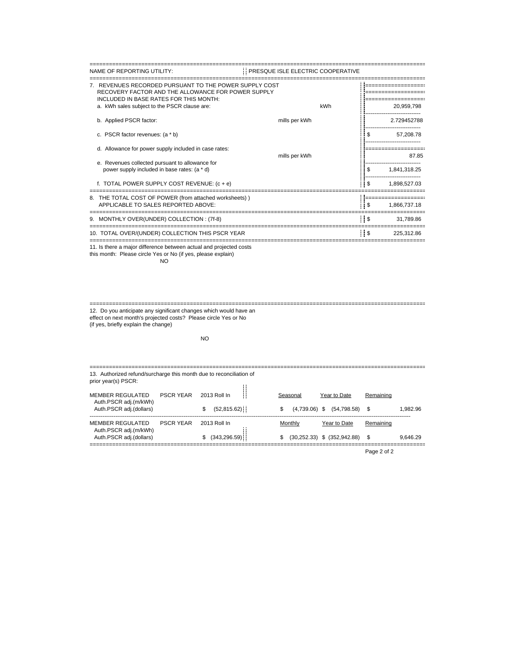| NAME OF REPORTING UTILITY:                                                                                                                             | PRESQUE ISLE ELECTRIC COOPERATIVE |                |              |
|--------------------------------------------------------------------------------------------------------------------------------------------------------|-----------------------------------|----------------|--------------|
| 7. REVENUES RECORDED PURSUANT TO THE POWER SUPPLY COST<br>RECOVERY FACTOR AND THE ALLOWANCE FOR POWER SUPPLY<br>INCLUDED IN BASE RATES FOR THIS MONTH: |                                   |                |              |
| a. kWh sales subject to the PSCR clause are:                                                                                                           | kWh                               |                | 20.959.798   |
| b. Applied PSCR factor:                                                                                                                                | mills per kWh                     |                | 2.729452788  |
| c. PSCR factor revenues: (a * b)                                                                                                                       |                                   | S              | 57,208.78    |
| d. Allowance for power supply included in case rates:                                                                                                  | mills per kWh                     |                | 87.85        |
| e. Revenues collected pursuant to allowance for<br>power supply included in base rates: (a * d)                                                        |                                   | \$             | 1,841,318.25 |
| f. TOTAL POWER SUPPLY COST REVENUE: $(c + e)$                                                                                                          |                                   | !!\$           | 1.898.527.03 |
| 8. THE TOTAL COST OF POWER (from attached worksheets))                                                                                                 |                                   |                |              |
| APPLICABLE TO SALES REPORTED ABOVE:                                                                                                                    |                                   | $\blacksquare$ | 1,866,737.18 |
| 9. MONTHLY OVER(UNDER) COLLECTION : (7f-8)                                                                                                             |                                   | $\frac{1}{3}$  | 31.789.86    |
| 10. TOTAL OVER/(UNDER) COLLECTION THIS PSCR YEAR                                                                                                       |                                   | $\frac{1}{2}$  | 225.312.86   |

11. Is there a major difference between actual and projected costs this month: Please circle Yes or No (if yes, please explain) NO

======================================================================================================== 12. Do you anticipate any significant changes which would have an effect on next month's projected costs? Please circle Yes or No

(if yes, briefly explain the change)

### NO

| 13. Authorized refund/surcharge this month due to reconciliation of<br>prior year(s) PSCR: |                  |                               |                                  |                                                    |           |          |  |  |
|--------------------------------------------------------------------------------------------|------------------|-------------------------------|----------------------------------|----------------------------------------------------|-----------|----------|--|--|
| MEMBER REGULATED<br>Auth.PSCR adj.(m/kWh)<br>Auth.PSCR adj.(dollars)                       | <b>PSCR YFAR</b> | 2013 Roll In<br>(52,815.62)   | Seasonal<br>S<br>$(4.739.06)$ \$ | Year to Date<br>$(54,798.58)$ \$                   | Remaining | 1.982.96 |  |  |
| MEMBER REGULATED<br>Auth.PSCR adj.(m/kWh)<br>Auth.PSCR adj.(dollars)                       | <b>PSCR YFAR</b> | 2013 Roll In<br>(343, 296.59) | Monthly<br>S                     | Year to Date<br>$(30,252.33)$ \$ $(352,942.88)$ \$ | Remaining | 9.646.29 |  |  |

Page 2 of 2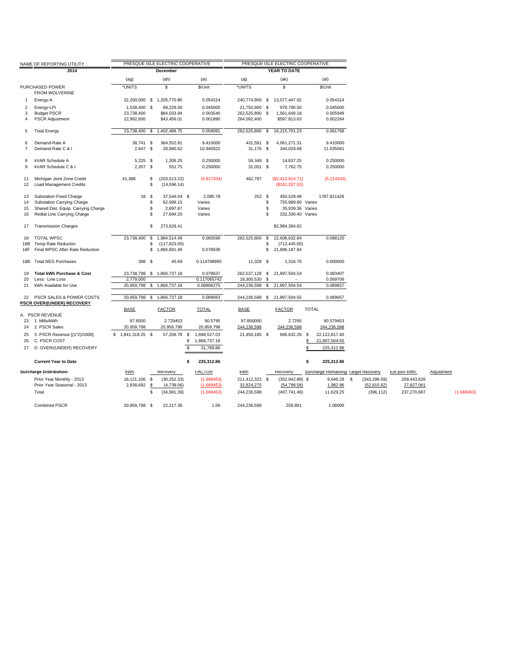|                | NAME OF REPORTING UTILITY :                                  |                    |          | PRESQUE ISLE ELECTRIC COOPERATIVE |                    |                |          | PRESQUE ISLE ELECTRIC COOPERATIVE   |              |                                      |               |               |            |            |
|----------------|--------------------------------------------------------------|--------------------|----------|-----------------------------------|--------------------|----------------|----------|-------------------------------------|--------------|--------------------------------------|---------------|---------------|------------|------------|
|                | 2014                                                         |                    |          | <b>December</b>                   |                    |                |          | YEAR TO DATE                        |              |                                      |               |               |            |            |
|                |                                                              | (aq)               |          | (ah)                              | (ai)               | (aj)           |          | (ak)                                |              | (al)                                 |               |               |            |            |
|                |                                                              |                    |          |                                   |                    |                |          |                                     |              |                                      |               |               |            |            |
|                | PURCHASED POWER<br>FROM WOLVERINE                            | *UNITS             |          | \$                                | \$/Unit            | *UNITS         |          | S.                                  |              | \$/Unit                              |               |               |            |            |
| 1              | Energy-A                                                     |                    |          | 22,200,000 \$ 1,205,770.80        | 0.054314           | 240,774,900 \$ |          | 13,077,447.92                       |              | 0.054314                             |               |               |            |            |
| $\overline{2}$ | Energy-LPI                                                   | 1,538,400 \$       |          | 69,228.00                         | 0.045000           | 21,750,900 \$  |          | 978,790.50                          |              | 0.045000                             |               |               |            |            |
| 3              | <b>Budget PSCR</b>                                           | 23,738,400         |          | \$84,033.94                       | 0.003540           | 262,525,800 \$ |          | 1,561,649.18                        |              | 0.005949                             |               |               |            |            |
| 4              | <b>PSCR Adjustment</b>                                       | 22,992,600         |          | \$43,456.01                       | 0.001890           | 264,092,400    |          | \$597,813.63                        |              | 0.002264                             |               |               |            |            |
| 5              | <b>Total Energy</b>                                          | 23,738,400 \$      |          | 1,402,488.75                      | 0.059081           | 262,525,800 \$ |          | 16,215,701.23                       |              | 0.061768                             |               |               |            |            |
| 6              | Demand-Rate A                                                | 38,741 \$          |          | 364,552.81                        | 9.410000           | 431,591 \$     |          | 4,061,271.31                        |              | 9.410000                             |               |               |            |            |
| $\overline{7}$ | Demand-Rate C & I                                            | $2,647$ \$         |          | 28,960.62                         | 10.940922          | 31,176 \$      |          | 344,029.68                          |              | 11.035081                            |               |               |            |            |
| 8              | kVAR Schedule A                                              | $5,225$ \$         |          | 1,306.25                          | 0.250000           | 59,349 \$      |          | 14,837.25                           |              | 0.250000                             |               |               |            |            |
| 9              | kVAR Schedule C & I                                          | $2,207$ \$         |          | 551.75                            | 0.250000           | 31,051 \$      |          | 7,762.75                            |              | 0.250000                             |               |               |            |            |
| 11<br>12       | Michigan Joint Zone Credit<br><b>Load Management Credits</b> | 41,388             | \$<br>\$ | (203, 513.22)<br>(14, 596.14)     | (4.917204)         | 462,767        |          | (\$2,412,914.71)<br>(\$181, 207.53) |              | (5.214103)                           |               |               |            |            |
| 13             | <b>Substation Fixed Charge</b>                               | 18 \$              |          | 37,544.04 \$                      | 2,085.78           | 252S           |          | 450,528.48                          |              | 1787.811429                          |               |               |            |            |
| 14             | <b>Substation Carrying Charge</b>                            |                    | \$       | 62,999.15                         | Varies             |                | \$       | 755,989.80 Varies                   |              |                                      |               |               |            |            |
| 15             | Shared Dist. Equip. Carrying Charge                          |                    | S        | 2,897.87                          | Varies             |                | \$       | 35,939.36 Varies                    |              |                                      |               |               |            |            |
| 16             | Redial Line Carrying Charge                                  |                    | \$       | 27,694.20                         | Varies             |                | \$.      | 332,330.40 Varies                   |              |                                      |               |               |            |            |
| 17             | <b>Transmission Charges</b>                                  |                    | \$       | 273,628.41                        |                    |                |          | \$2,984,364.82                      |              |                                      |               |               |            |            |
| 18             | <b>TOTAL WPSC</b>                                            | 23,738,400 \$      |          | 1,984,514.49                      | 0.083599           | 262,525,800    | <b>S</b> | 22,608,632.84                       |              | 0.086120                             |               |               |            |            |
| 18B            | Temp Rate Reducton                                           |                    | \$       | (117, 823.00)                     |                    |                | S        | (712, 445.00)                       |              |                                      |               |               |            |            |
| 18F            | Final WPSC After Rate Reduction                              |                    | \$       | 1,866,691.49                      | 0.078636           |                | \$       | 21,896,187.84                       |              |                                      |               |               |            |            |
|                | 18B Total NEG Purchases                                      | 398 \$             |          | 45.69                             | 0.114798995        | 11,328 \$      |          | 1,316.70                            |              | 0.000000                             |               |               |            |            |
| 19             | <b>Total kWh Purchase &amp; Cost</b>                         |                    |          | 23,738,798 \$ 1,866,737.18        | 0.078637           | 262,537,128 \$ |          | 21,897,504.54                       |              | 0.083407                             |               |               |            |            |
| 20             | Less: Line Loss                                              | 2.779.000          |          |                                   | 0.117065742        | 18,300,530 \$  |          |                                     |              | 0.069706                             |               |               |            |            |
| 21             | kWh Available for Use                                        |                    |          | 20,959,798 \$ 1,866,737.18        | 0.08906275         | 244,236,598 \$ |          | 21,897,504.54                       |              | 0.089657                             |               |               |            |            |
| 22             | PSCR SALES & POWER COSTS                                     |                    |          | 20,959,798 \$ 1,866,737.18        | 0.089063           | 244,236,598 \$ |          | 21,897,504.55                       |              | 0.089657                             |               |               |            |            |
|                | PSCR OVER/(UNDER) RECOVERY                                   |                    |          |                                   |                    |                |          |                                     |              |                                      |               |               |            |            |
|                | A. PSCR REVENUE                                              | <b>BASE</b>        |          | <b>FACTOR</b>                     | <b>TOTAL</b>       | <b>BASE</b>    |          | <b>FACTOR</b>                       | <b>TOTAL</b> |                                      |               |               |            |            |
| 23             | 1. Mills/kWh                                                 | 87.8500            |          | 2.729453                          | 90.5795            | 87.850000      |          | 2.7295                              |              | 90.579453                            |               |               |            |            |
| 24             | 2. PSCR Sales                                                | 20,959,798         |          | 20,959,798                        | 20,959,798         | 244,236,598    |          | 244,236,598                         |              | 244,236,598                          |               |               |            |            |
| 25             | 3. PSCR Revenue [(1*2)/1000]                                 | $$1,841,318.25$ \$ |          | 57,208.78 \$                      | 1,898,527.03       | 21,456,185 \$  |          | 666,632.26 \$                       |              | 22,122,817.40                        |               |               |            |            |
| 26             | C. PSCR COST                                                 |                    |          |                                   | \$<br>1,866,737.18 |                |          |                                     | S            | 21,897,504.55                        |               |               |            |            |
| 27             | D. OVER/(UNDER) RECOVERY                                     |                    |          |                                   | \$<br>31,789.86    |                |          |                                     |              | 225,312.86                           |               |               |            |            |
|                | <b>Current Year to Date</b>                                  |                    |          |                                   | \$<br>225,312.86   |                |          |                                     | \$           | 225,312.86                           |               |               |            |            |
|                | <b>Surcharge Distribution:</b>                               | kWh                |          | Recovery                          | <b>FACTOR</b>      | kWh            |          | Recovery                            |              | Surcharge Remaining: Target Recovery |               | Est pscr kWh: | Adjustment |            |
|                | Prior Year Monthly - 2013                                    | 18,121,106         | \$       | (30, 252.33)                      | (1.669453)         | 211,412,323 \$ |          | $(352, 942.88)$ \$                  |              | 9,646.29 \$                          | (343, 296.59) | 209,443,626   |            |            |
|                | Prior Year Seasonal - 2013                                   | 2,838,692 \$       |          | (4,739.06)                        | (1.669453)         | 32,824,275     |          | (54, 798.58)                        |              | 1,982.96                             | (52, 815.62)  | 27,827,061    |            |            |
|                | Total                                                        |                    | \$       | (34,991.39)                       | (1.669453)         | 244,236,598    |          | (407, 741.46)                       |              | 11,629.25                            | (396, 112)    | 237,270,687   |            | (1.669453) |
|                | <b>Combined PSCR</b>                                         | 20,959,798 \$      |          | 22,217.39                         | 1.06               | 244,236,598    |          | 258,891                             |              | 1.06000                              |               |               |            |            |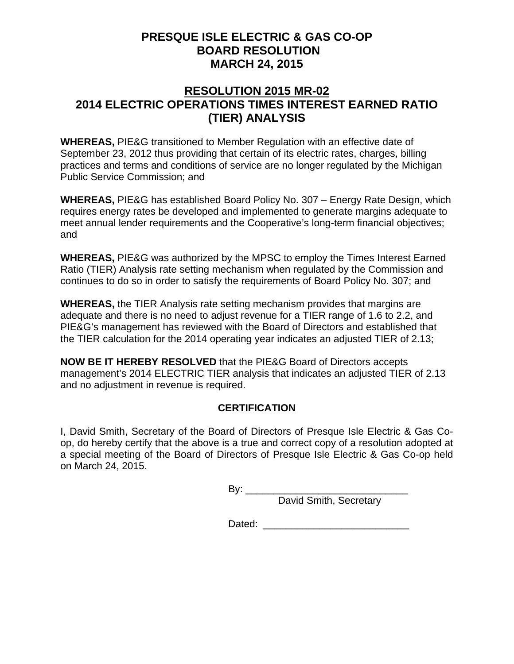### **RESOLUTION 2015 MR-02 2014 ELECTRIC OPERATIONS TIMES INTEREST EARNED RATIO (TIER) ANALYSIS**

**WHEREAS,** PIE&G transitioned to Member Regulation with an effective date of September 23, 2012 thus providing that certain of its electric rates, charges, billing practices and terms and conditions of service are no longer regulated by the Michigan Public Service Commission; and

**WHEREAS,** PIE&G has established Board Policy No. 307 – Energy Rate Design, which requires energy rates be developed and implemented to generate margins adequate to meet annual lender requirements and the Cooperative's long-term financial objectives; and

**WHEREAS,** PIE&G was authorized by the MPSC to employ the Times Interest Earned Ratio (TIER) Analysis rate setting mechanism when regulated by the Commission and continues to do so in order to satisfy the requirements of Board Policy No. 307; and

**WHEREAS,** the TIER Analysis rate setting mechanism provides that margins are adequate and there is no need to adjust revenue for a TIER range of 1.6 to 2.2, and PIE&G's management has reviewed with the Board of Directors and established that the TIER calculation for the 2014 operating year indicates an adjusted TIER of 2.13;

**NOW BE IT HEREBY RESOLVED** that the PIE&G Board of Directors accepts management's 2014 ELECTRIC TIER analysis that indicates an adjusted TIER of 2.13 and no adjustment in revenue is required.

### **CERTIFICATION**

I, David Smith, Secretary of the Board of Directors of Presque Isle Electric & Gas Coop, do hereby certify that the above is a true and correct copy of a resolution adopted at a special meeting of the Board of Directors of Presque Isle Electric & Gas Co-op held on March 24, 2015.

By: \_\_\_\_\_\_\_\_\_\_\_\_\_\_\_\_\_\_\_\_\_\_\_\_\_\_\_\_\_

David Smith, Secretary

Dated: \_\_\_\_\_\_\_\_\_\_\_\_\_\_\_\_\_\_\_\_\_\_\_\_\_\_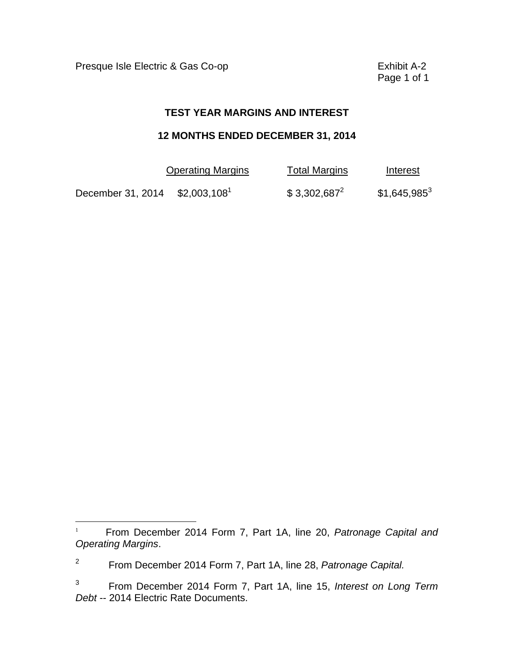Presque Isle Electric & Gas Co-op **Exhibit A-2** 

 $\overline{a}$ 

Page 1 of 1

### **TEST YEAR MARGINS AND INTEREST**

### **12 MONTHS ENDED DECEMBER 31, 2014**

|                   | <b>Operating Margins</b>  | <b>Total Margins</b> | Interest       |
|-------------------|---------------------------|----------------------|----------------|
| December 31, 2014 | $$2,003,108$ <sup>1</sup> | $$3,302,687^2$       | $$1,645,985^3$ |

<sup>1</sup>From December 2014 Form 7, Part 1A, line 20, *Patronage Capital and Operating Margins*.

<sup>2</sup> From December 2014 Form 7, Part 1A, line 28, *Patronage Capital.* 

 $\mathbf{3}$ 3 From December 2014 Form 7, Part 1A, line 15, *Interest on Long Term Debt* -- 2014 Electric Rate Documents.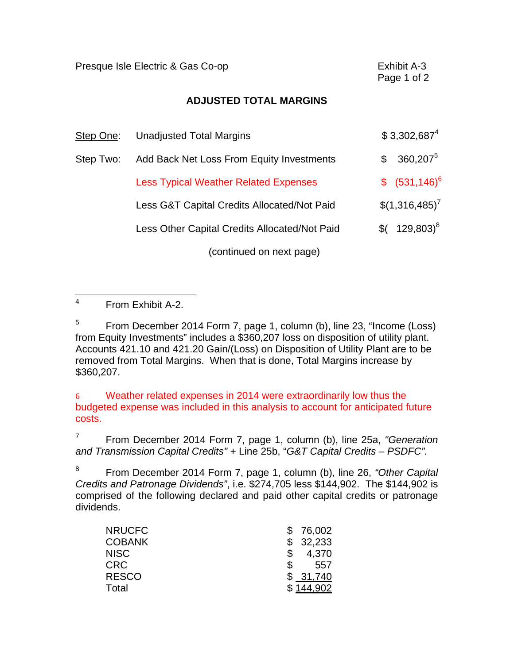Presque Isle Electric & Gas Co-op **Exhibit A-3** 

Page 1 of 2

### **ADJUSTED TOTAL MARGINS**

| Step One: | <b>Unadjusted Total Margins</b>               | $$3,302,687^4$             |
|-----------|-----------------------------------------------|----------------------------|
| Step Two: | Add Back Net Loss From Equity Investments     | $360,207^5$<br>\$          |
|           | <b>Less Typical Weather Related Expenses</b>  | $$(531,146)^6$             |
|           | Less G&T Capital Credits Allocated/Not Paid   | $$(1,316,485)^{7}$         |
|           | Less Other Capital Credits Allocated/Not Paid | $$$ (129,803) <sup>8</sup> |
|           | (continued on next page)                      |                            |

 $\overline{4}$ 4 From Exhibit A-2.

5 5 From December 2014 Form 7, page 1, column (b), line 23, "Income (Loss) from Equity Investments" includes a \$360,207 loss on disposition of utility plant. Accounts 421.10 and 421.20 Gain/(Loss) on Disposition of Utility Plant are to be removed from Total Margins. When that is done, Total Margins increase by \$360,207.

6 Weather related expenses in 2014 were extraordinarily low thus the budgeted expense was included in this analysis to account for anticipated future costs.

7 From December 2014 Form 7, page 1, column (b), line 25a, *"Generation and Transmission Capital Credits"* + Line 25b, "*G&T Capital Credits – PSDFC".* 

8 8 From December 2014 Form 7, page 1, column (b), line 26, *"Other Capital Credits and Patronage Dividends"*, i.e. \$274,705 less \$144,902. The \$144,902 is comprised of the following declared and paid other capital credits or patronage dividends.

| <b>NRUCFC</b> | 76,002 |
|---------------|--------|
| <b>COBANK</b> | 32,233 |
| <b>NISC</b>   | 4,370  |
| <b>CRC</b>    | 557    |
| <b>RESCO</b>  | 31,740 |
| Total         |        |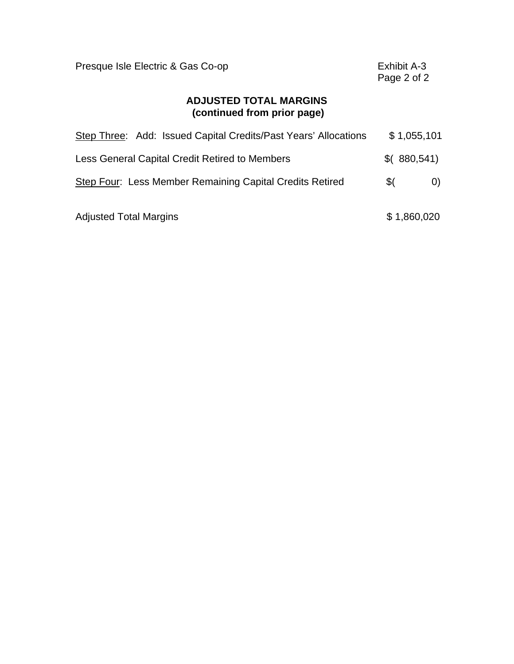| Presque Isle Electric & Gas Co-op                               | Exhibit A-3<br>Page 2 of 2 |  |  |  |
|-----------------------------------------------------------------|----------------------------|--|--|--|
| <b>ADJUSTED TOTAL MARGINS</b><br>(continued from prior page)    |                            |  |  |  |
| Step Three: Add: Issued Capital Credits/Past Years' Allocations | \$1,055,101                |  |  |  |
| Less General Capital Credit Retired to Members                  | \$(880,541)                |  |  |  |
| Step Four: Less Member Remaining Capital Credits Retired        | \$(<br>$\left( 0\right)$   |  |  |  |
| <b>Adjusted Total Margins</b>                                   | \$1,860,020                |  |  |  |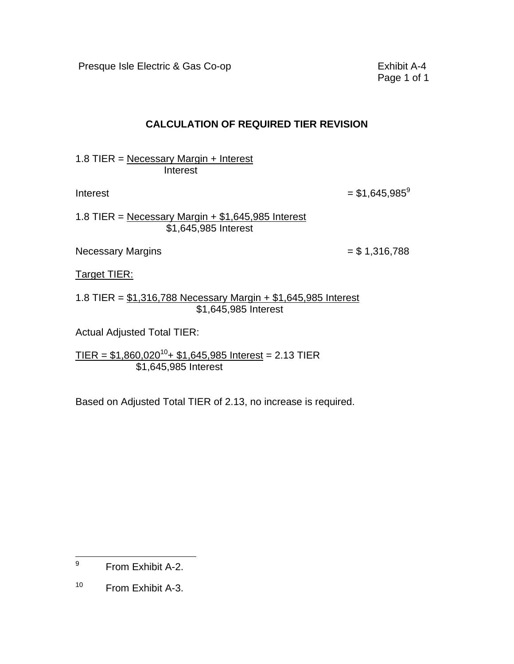Presque Isle Electric & Gas Co-op **Exhibit A-4** 

Page 1 of 1

### **CALCULATION OF REQUIRED TIER REVISION**

1.8 TIER = Necessary Margin + Interest **Interest** 

 $Interest = $1,645,985^9$ 

1.8 TIER = Necessary Margin  $+$  \$1,645,985 Interest \$1,645,985 Interest

Necessary Margins  $= $1,316,788$ 

Target TIER:

1.8 TIER = \$1,316,788 Necessary Margin + \$1,645,985 Interest \$1,645,985 Interest

Actual Adjusted Total TIER:

 $TIER = $1,860,020^{10} + $1,645,985$  Interest = 2.13 TIER \$1,645,985 Interest

Based on Adjusted Total TIER of 2.13, no increase is required.

 $\overline{a}$ 9 From Exhibit A-2.

 $10<sub>1</sub>$ From Exhibit A-3.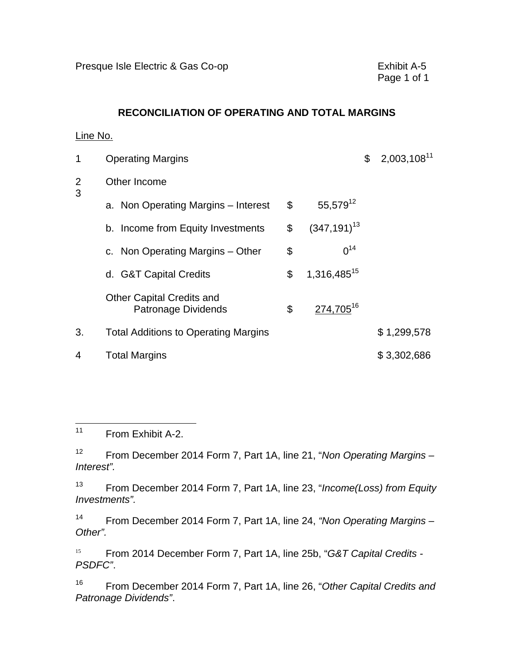### **RECONCILIATION OF OPERATING AND TOTAL MARGINS**

### Line No.

| 1                   | <b>Operating Margins</b>                                |                               | $2,003,108$ <sup>11</sup><br>\$ |
|---------------------|---------------------------------------------------------|-------------------------------|---------------------------------|
| $\overline{2}$<br>3 | Other Income                                            |                               |                                 |
|                     | a. Non Operating Margins - Interest                     | \$<br>$55,579^{12}$           |                                 |
|                     | b. Income from Equity Investments                       | \$<br>$(347, 191)^{13}$       |                                 |
|                     | c. Non Operating Margins – Other                        | \$<br>$0^{14}$                |                                 |
|                     | d. G&T Capital Credits                                  | \$<br>1,316,485 <sup>15</sup> |                                 |
|                     | <b>Other Capital Credits and</b><br>Patronage Dividends | \$<br>274,705 <sup>16</sup>   |                                 |
| 3.                  | <b>Total Additions to Operating Margins</b>             |                               | \$1,299,578                     |
| 4                   | <b>Total Margins</b>                                    |                               | \$3,302,686                     |

 $\overline{a}$ From Exhibit A-2.

 $12<sup>°</sup>$ 12 From December 2014 Form 7, Part 1A, line 21, "*Non Operating Margins – Interest".* 

 $13$ 13 From December 2014 Form 7, Part 1A, line 23, "*Income(Loss) from Equity Investments".* 

 $14$ 14 From December 2014 Form 7, Part 1A, line 24, *"Non Operating Margins – Other".* 

15 <sup>15</sup>From 2014 December Form 7, Part 1A, line 25b, "*G&T Capital Credits - PSDFC"*.

16 16 From December 2014 Form 7, Part 1A, line 26, "*Other Capital Credits and Patronage Dividends"*.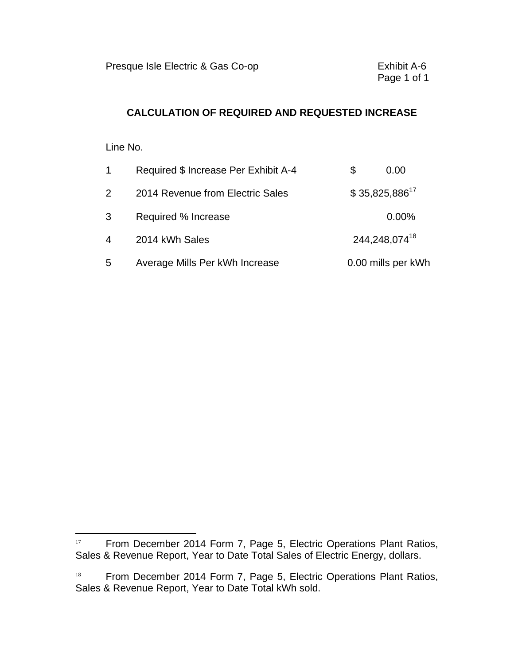### **CALCULATION OF REQUIRED AND REQUESTED INCREASE**

### Line No.

 $\overline{a}$ 

| $\mathbf{1}$   | Required \$ Increase Per Exhibit A-4 | S | 0.00               |
|----------------|--------------------------------------|---|--------------------|
| $\overline{2}$ | 2014 Revenue from Electric Sales     |   | $$35,825,886^{17}$ |
| 3              | Required % Increase                  |   | 0.00%              |
| 4              | 2014 kWh Sales                       |   | 244,248,07418      |
| 5              | Average Mills Per kWh Increase       |   | 0.00 mills per kWh |

<sup>&</sup>lt;sup>17</sup> From December 2014 Form 7, Page 5, Electric Operations Plant Ratios, Sales & Revenue Report, Year to Date Total Sales of Electric Energy, dollars.

 $18\,$ From December 2014 Form 7, Page 5, Electric Operations Plant Ratios, Sales & Revenue Report, Year to Date Total kWh sold.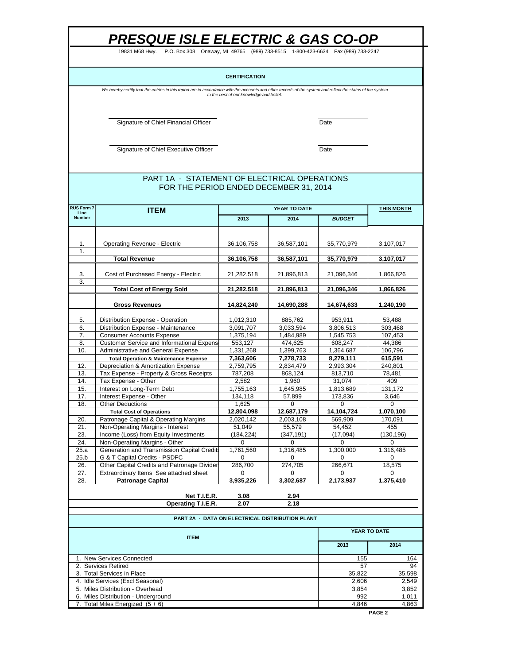19831 M68 Hwy. P.O. Box 308 Onaway, MI 49765 (989) 733-8515 1-800-423-6634 Fax (989) 733-2247

### **CERTIFICATION**

We hereby certify that the entries in this report are in accordance with the accounts and other records of the system and reflect the status of the system<br>to the best of our knowledge and belief.

Signature of Chief Financial Officer **Date** 

Signature of Chief Executive Officer **Date** 

### FOR THE PERIOD ENDED DECEMBER 31, 2014 PART 1A - STATEMENT OF ELECTRICAL OPERATIONS

| Line<br><b>Number</b><br>2013<br>2014<br><b>BUDGET</b><br><b>Operating Revenue - Electric</b><br>36,106,758<br>36,587,101<br>35,770,979<br>3,107,017<br>1.<br>1.<br><b>Total Revenue</b><br>36,106,758<br>36,587,101<br>35,770,979<br>3,107,017<br>Cost of Purchased Energy - Electric<br>21,282,518<br>21,096,346<br>3.<br>21,896,813<br>1,866,826<br>3.<br><b>Total Cost of Energy Sold</b><br>21,282,518<br>21,896,813<br>21,096,346<br>1,866,826<br><b>Gross Revenues</b><br>14,824,240<br>14,690,288<br>14,674,633<br>1,240,190<br>1,012,310<br>5.<br>Distribution Expense - Operation<br>885,762<br>953,911<br>53,488<br>Distribution Expense - Maintenance<br>3,091,707<br>3,033,594<br>3,806,513<br>6.<br>303,468<br>7.<br><b>Consumer Accounts Expense</b><br>1,375,194<br>1,484,989<br>1,545,753<br>107,453<br><b>Customer Service and Informational Expens</b><br>8.<br>553,127<br>474,625<br>608,247<br>44,386<br>10.<br>Administrative and General Expense<br>1,364,687<br>106,796<br>1,331,268<br>1,399,763<br><b>Total Operation &amp; Maintenance Expense</b><br>7,363,606<br>7,278,733<br>8,279,111<br>615,591<br>12.<br>Depreciation & Amortization Expense<br>2,759,795<br>2,834,479<br>2,993,304<br>240,801<br>13.<br>Tax Expense - Property & Gross Receipts<br>787,208<br>868,124<br>813,710<br>78,481<br>Tax Expense - Other<br>14.<br>2,582<br>1,960<br>31,074<br>409<br>15.<br>131,172<br>Interest on Long-Term Debt<br>1,755,163<br>1,645,985<br>1,813,689<br>Interest Expense - Other<br>17.<br>134,118<br>57,899<br>173,836<br>3,646<br>18.<br><b>Other Deductions</b><br>1,625<br>0<br>0<br>0<br>12,804,098<br>12,687,179<br>14,104,724<br>1,070,100<br><b>Total Cost of Operations</b><br>20.<br>Patronage Capital & Operating Margins<br>2,020,142<br>2,003,108<br>569,909<br>170,091<br>21.<br>Non-Operating Margins - Interest<br>51,049<br>55,579<br>54,452<br>455<br>23.<br>(347, 191)<br>Income (Loss) from Equity Investments<br>(184, 224)<br>(17,094)<br>(130, 196)<br>24.<br>Non-Operating Margins - Other<br>0<br>0<br>0<br>0<br>25.a<br>Generation and Transmission Capital Credits<br>1,761,560<br>1,316,485<br>1,300,000<br>1,316,485<br>25.b<br>G & T Capital Credits - PSDFC<br>$\Omega$<br>0<br>$\Omega$<br>$\Omega$<br>Other Capital Credits and Patronage Divider<br>286,700<br>274,705<br>266,671<br>18,575<br>26.<br>27.<br>Extraordinary Items See attached sheet<br>0<br>$\Omega$<br>$\Omega$<br>$\Omega$<br>28.<br><b>Patronage Capital</b><br>3,935,226<br>3,302,687<br>2,173,937<br>1,375,410<br>Net T.I.E.R.<br>3.08<br>2.94<br>Operating T.I.E.R.<br>2.07<br>2.18<br>PART 2A - DATA ON ELECTRICAL DISTRIBUTION PLANT<br>YEAR TO DATE<br><b>ITEM</b><br>2014<br>2013<br>1. New Services Connected<br>155<br>164<br>57<br>2. Services Retired<br>3. Total Services in Place<br>35,822<br>35,598<br>4. Idle Services (Excl Seasonal)<br>2,606<br>2,549<br>5. Miles Distribution - Overhead<br>3,854<br>3,852<br>6. Miles Distribution - Underground<br>992<br>1,011<br>7. Total Miles Energized $(5 + 6)$<br>4,846 | <b>RUS Form 7</b> | <b>ITEM</b> | <b>YEAR TO DATE</b> | <b>THIS MONTH</b> |  |
|---------------------------------------------------------------------------------------------------------------------------------------------------------------------------------------------------------------------------------------------------------------------------------------------------------------------------------------------------------------------------------------------------------------------------------------------------------------------------------------------------------------------------------------------------------------------------------------------------------------------------------------------------------------------------------------------------------------------------------------------------------------------------------------------------------------------------------------------------------------------------------------------------------------------------------------------------------------------------------------------------------------------------------------------------------------------------------------------------------------------------------------------------------------------------------------------------------------------------------------------------------------------------------------------------------------------------------------------------------------------------------------------------------------------------------------------------------------------------------------------------------------------------------------------------------------------------------------------------------------------------------------------------------------------------------------------------------------------------------------------------------------------------------------------------------------------------------------------------------------------------------------------------------------------------------------------------------------------------------------------------------------------------------------------------------------------------------------------------------------------------------------------------------------------------------------------------------------------------------------------------------------------------------------------------------------------------------------------------------------------------------------------------------------------------------------------------------------------------------------------------------------------------------------------------------------------------------------------------------------------------------------------------------------------------------------------------------------------------------------------------------------------------------------------------------------------------------------------------------------------------------------------------------------------------------------------------------------------------------------------------------------------------------------------------------------------------|-------------------|-------------|---------------------|-------------------|--|
|                                                                                                                                                                                                                                                                                                                                                                                                                                                                                                                                                                                                                                                                                                                                                                                                                                                                                                                                                                                                                                                                                                                                                                                                                                                                                                                                                                                                                                                                                                                                                                                                                                                                                                                                                                                                                                                                                                                                                                                                                                                                                                                                                                                                                                                                                                                                                                                                                                                                                                                                                                                                                                                                                                                                                                                                                                                                                                                                                                                                                                                                           |                   |             |                     |                   |  |
|                                                                                                                                                                                                                                                                                                                                                                                                                                                                                                                                                                                                                                                                                                                                                                                                                                                                                                                                                                                                                                                                                                                                                                                                                                                                                                                                                                                                                                                                                                                                                                                                                                                                                                                                                                                                                                                                                                                                                                                                                                                                                                                                                                                                                                                                                                                                                                                                                                                                                                                                                                                                                                                                                                                                                                                                                                                                                                                                                                                                                                                                           |                   |             |                     |                   |  |
|                                                                                                                                                                                                                                                                                                                                                                                                                                                                                                                                                                                                                                                                                                                                                                                                                                                                                                                                                                                                                                                                                                                                                                                                                                                                                                                                                                                                                                                                                                                                                                                                                                                                                                                                                                                                                                                                                                                                                                                                                                                                                                                                                                                                                                                                                                                                                                                                                                                                                                                                                                                                                                                                                                                                                                                                                                                                                                                                                                                                                                                                           |                   |             |                     |                   |  |
|                                                                                                                                                                                                                                                                                                                                                                                                                                                                                                                                                                                                                                                                                                                                                                                                                                                                                                                                                                                                                                                                                                                                                                                                                                                                                                                                                                                                                                                                                                                                                                                                                                                                                                                                                                                                                                                                                                                                                                                                                                                                                                                                                                                                                                                                                                                                                                                                                                                                                                                                                                                                                                                                                                                                                                                                                                                                                                                                                                                                                                                                           |                   |             |                     |                   |  |
|                                                                                                                                                                                                                                                                                                                                                                                                                                                                                                                                                                                                                                                                                                                                                                                                                                                                                                                                                                                                                                                                                                                                                                                                                                                                                                                                                                                                                                                                                                                                                                                                                                                                                                                                                                                                                                                                                                                                                                                                                                                                                                                                                                                                                                                                                                                                                                                                                                                                                                                                                                                                                                                                                                                                                                                                                                                                                                                                                                                                                                                                           |                   |             |                     |                   |  |
|                                                                                                                                                                                                                                                                                                                                                                                                                                                                                                                                                                                                                                                                                                                                                                                                                                                                                                                                                                                                                                                                                                                                                                                                                                                                                                                                                                                                                                                                                                                                                                                                                                                                                                                                                                                                                                                                                                                                                                                                                                                                                                                                                                                                                                                                                                                                                                                                                                                                                                                                                                                                                                                                                                                                                                                                                                                                                                                                                                                                                                                                           |                   |             |                     |                   |  |
|                                                                                                                                                                                                                                                                                                                                                                                                                                                                                                                                                                                                                                                                                                                                                                                                                                                                                                                                                                                                                                                                                                                                                                                                                                                                                                                                                                                                                                                                                                                                                                                                                                                                                                                                                                                                                                                                                                                                                                                                                                                                                                                                                                                                                                                                                                                                                                                                                                                                                                                                                                                                                                                                                                                                                                                                                                                                                                                                                                                                                                                                           |                   |             |                     |                   |  |
|                                                                                                                                                                                                                                                                                                                                                                                                                                                                                                                                                                                                                                                                                                                                                                                                                                                                                                                                                                                                                                                                                                                                                                                                                                                                                                                                                                                                                                                                                                                                                                                                                                                                                                                                                                                                                                                                                                                                                                                                                                                                                                                                                                                                                                                                                                                                                                                                                                                                                                                                                                                                                                                                                                                                                                                                                                                                                                                                                                                                                                                                           |                   |             |                     |                   |  |
|                                                                                                                                                                                                                                                                                                                                                                                                                                                                                                                                                                                                                                                                                                                                                                                                                                                                                                                                                                                                                                                                                                                                                                                                                                                                                                                                                                                                                                                                                                                                                                                                                                                                                                                                                                                                                                                                                                                                                                                                                                                                                                                                                                                                                                                                                                                                                                                                                                                                                                                                                                                                                                                                                                                                                                                                                                                                                                                                                                                                                                                                           |                   |             |                     |                   |  |
|                                                                                                                                                                                                                                                                                                                                                                                                                                                                                                                                                                                                                                                                                                                                                                                                                                                                                                                                                                                                                                                                                                                                                                                                                                                                                                                                                                                                                                                                                                                                                                                                                                                                                                                                                                                                                                                                                                                                                                                                                                                                                                                                                                                                                                                                                                                                                                                                                                                                                                                                                                                                                                                                                                                                                                                                                                                                                                                                                                                                                                                                           |                   |             |                     |                   |  |
|                                                                                                                                                                                                                                                                                                                                                                                                                                                                                                                                                                                                                                                                                                                                                                                                                                                                                                                                                                                                                                                                                                                                                                                                                                                                                                                                                                                                                                                                                                                                                                                                                                                                                                                                                                                                                                                                                                                                                                                                                                                                                                                                                                                                                                                                                                                                                                                                                                                                                                                                                                                                                                                                                                                                                                                                                                                                                                                                                                                                                                                                           |                   |             |                     |                   |  |
|                                                                                                                                                                                                                                                                                                                                                                                                                                                                                                                                                                                                                                                                                                                                                                                                                                                                                                                                                                                                                                                                                                                                                                                                                                                                                                                                                                                                                                                                                                                                                                                                                                                                                                                                                                                                                                                                                                                                                                                                                                                                                                                                                                                                                                                                                                                                                                                                                                                                                                                                                                                                                                                                                                                                                                                                                                                                                                                                                                                                                                                                           |                   |             |                     |                   |  |
|                                                                                                                                                                                                                                                                                                                                                                                                                                                                                                                                                                                                                                                                                                                                                                                                                                                                                                                                                                                                                                                                                                                                                                                                                                                                                                                                                                                                                                                                                                                                                                                                                                                                                                                                                                                                                                                                                                                                                                                                                                                                                                                                                                                                                                                                                                                                                                                                                                                                                                                                                                                                                                                                                                                                                                                                                                                                                                                                                                                                                                                                           |                   |             |                     |                   |  |
|                                                                                                                                                                                                                                                                                                                                                                                                                                                                                                                                                                                                                                                                                                                                                                                                                                                                                                                                                                                                                                                                                                                                                                                                                                                                                                                                                                                                                                                                                                                                                                                                                                                                                                                                                                                                                                                                                                                                                                                                                                                                                                                                                                                                                                                                                                                                                                                                                                                                                                                                                                                                                                                                                                                                                                                                                                                                                                                                                                                                                                                                           |                   |             |                     |                   |  |
|                                                                                                                                                                                                                                                                                                                                                                                                                                                                                                                                                                                                                                                                                                                                                                                                                                                                                                                                                                                                                                                                                                                                                                                                                                                                                                                                                                                                                                                                                                                                                                                                                                                                                                                                                                                                                                                                                                                                                                                                                                                                                                                                                                                                                                                                                                                                                                                                                                                                                                                                                                                                                                                                                                                                                                                                                                                                                                                                                                                                                                                                           |                   |             |                     |                   |  |
|                                                                                                                                                                                                                                                                                                                                                                                                                                                                                                                                                                                                                                                                                                                                                                                                                                                                                                                                                                                                                                                                                                                                                                                                                                                                                                                                                                                                                                                                                                                                                                                                                                                                                                                                                                                                                                                                                                                                                                                                                                                                                                                                                                                                                                                                                                                                                                                                                                                                                                                                                                                                                                                                                                                                                                                                                                                                                                                                                                                                                                                                           |                   |             |                     |                   |  |
|                                                                                                                                                                                                                                                                                                                                                                                                                                                                                                                                                                                                                                                                                                                                                                                                                                                                                                                                                                                                                                                                                                                                                                                                                                                                                                                                                                                                                                                                                                                                                                                                                                                                                                                                                                                                                                                                                                                                                                                                                                                                                                                                                                                                                                                                                                                                                                                                                                                                                                                                                                                                                                                                                                                                                                                                                                                                                                                                                                                                                                                                           |                   |             |                     |                   |  |
|                                                                                                                                                                                                                                                                                                                                                                                                                                                                                                                                                                                                                                                                                                                                                                                                                                                                                                                                                                                                                                                                                                                                                                                                                                                                                                                                                                                                                                                                                                                                                                                                                                                                                                                                                                                                                                                                                                                                                                                                                                                                                                                                                                                                                                                                                                                                                                                                                                                                                                                                                                                                                                                                                                                                                                                                                                                                                                                                                                                                                                                                           |                   |             |                     |                   |  |
|                                                                                                                                                                                                                                                                                                                                                                                                                                                                                                                                                                                                                                                                                                                                                                                                                                                                                                                                                                                                                                                                                                                                                                                                                                                                                                                                                                                                                                                                                                                                                                                                                                                                                                                                                                                                                                                                                                                                                                                                                                                                                                                                                                                                                                                                                                                                                                                                                                                                                                                                                                                                                                                                                                                                                                                                                                                                                                                                                                                                                                                                           |                   |             |                     |                   |  |
|                                                                                                                                                                                                                                                                                                                                                                                                                                                                                                                                                                                                                                                                                                                                                                                                                                                                                                                                                                                                                                                                                                                                                                                                                                                                                                                                                                                                                                                                                                                                                                                                                                                                                                                                                                                                                                                                                                                                                                                                                                                                                                                                                                                                                                                                                                                                                                                                                                                                                                                                                                                                                                                                                                                                                                                                                                                                                                                                                                                                                                                                           |                   |             |                     |                   |  |
|                                                                                                                                                                                                                                                                                                                                                                                                                                                                                                                                                                                                                                                                                                                                                                                                                                                                                                                                                                                                                                                                                                                                                                                                                                                                                                                                                                                                                                                                                                                                                                                                                                                                                                                                                                                                                                                                                                                                                                                                                                                                                                                                                                                                                                                                                                                                                                                                                                                                                                                                                                                                                                                                                                                                                                                                                                                                                                                                                                                                                                                                           |                   |             |                     |                   |  |
|                                                                                                                                                                                                                                                                                                                                                                                                                                                                                                                                                                                                                                                                                                                                                                                                                                                                                                                                                                                                                                                                                                                                                                                                                                                                                                                                                                                                                                                                                                                                                                                                                                                                                                                                                                                                                                                                                                                                                                                                                                                                                                                                                                                                                                                                                                                                                                                                                                                                                                                                                                                                                                                                                                                                                                                                                                                                                                                                                                                                                                                                           |                   |             |                     |                   |  |
|                                                                                                                                                                                                                                                                                                                                                                                                                                                                                                                                                                                                                                                                                                                                                                                                                                                                                                                                                                                                                                                                                                                                                                                                                                                                                                                                                                                                                                                                                                                                                                                                                                                                                                                                                                                                                                                                                                                                                                                                                                                                                                                                                                                                                                                                                                                                                                                                                                                                                                                                                                                                                                                                                                                                                                                                                                                                                                                                                                                                                                                                           |                   |             |                     |                   |  |
|                                                                                                                                                                                                                                                                                                                                                                                                                                                                                                                                                                                                                                                                                                                                                                                                                                                                                                                                                                                                                                                                                                                                                                                                                                                                                                                                                                                                                                                                                                                                                                                                                                                                                                                                                                                                                                                                                                                                                                                                                                                                                                                                                                                                                                                                                                                                                                                                                                                                                                                                                                                                                                                                                                                                                                                                                                                                                                                                                                                                                                                                           |                   |             |                     |                   |  |
|                                                                                                                                                                                                                                                                                                                                                                                                                                                                                                                                                                                                                                                                                                                                                                                                                                                                                                                                                                                                                                                                                                                                                                                                                                                                                                                                                                                                                                                                                                                                                                                                                                                                                                                                                                                                                                                                                                                                                                                                                                                                                                                                                                                                                                                                                                                                                                                                                                                                                                                                                                                                                                                                                                                                                                                                                                                                                                                                                                                                                                                                           |                   |             |                     |                   |  |
|                                                                                                                                                                                                                                                                                                                                                                                                                                                                                                                                                                                                                                                                                                                                                                                                                                                                                                                                                                                                                                                                                                                                                                                                                                                                                                                                                                                                                                                                                                                                                                                                                                                                                                                                                                                                                                                                                                                                                                                                                                                                                                                                                                                                                                                                                                                                                                                                                                                                                                                                                                                                                                                                                                                                                                                                                                                                                                                                                                                                                                                                           |                   |             |                     |                   |  |
|                                                                                                                                                                                                                                                                                                                                                                                                                                                                                                                                                                                                                                                                                                                                                                                                                                                                                                                                                                                                                                                                                                                                                                                                                                                                                                                                                                                                                                                                                                                                                                                                                                                                                                                                                                                                                                                                                                                                                                                                                                                                                                                                                                                                                                                                                                                                                                                                                                                                                                                                                                                                                                                                                                                                                                                                                                                                                                                                                                                                                                                                           |                   |             |                     |                   |  |
|                                                                                                                                                                                                                                                                                                                                                                                                                                                                                                                                                                                                                                                                                                                                                                                                                                                                                                                                                                                                                                                                                                                                                                                                                                                                                                                                                                                                                                                                                                                                                                                                                                                                                                                                                                                                                                                                                                                                                                                                                                                                                                                                                                                                                                                                                                                                                                                                                                                                                                                                                                                                                                                                                                                                                                                                                                                                                                                                                                                                                                                                           |                   |             |                     |                   |  |
|                                                                                                                                                                                                                                                                                                                                                                                                                                                                                                                                                                                                                                                                                                                                                                                                                                                                                                                                                                                                                                                                                                                                                                                                                                                                                                                                                                                                                                                                                                                                                                                                                                                                                                                                                                                                                                                                                                                                                                                                                                                                                                                                                                                                                                                                                                                                                                                                                                                                                                                                                                                                                                                                                                                                                                                                                                                                                                                                                                                                                                                                           |                   |             |                     |                   |  |
|                                                                                                                                                                                                                                                                                                                                                                                                                                                                                                                                                                                                                                                                                                                                                                                                                                                                                                                                                                                                                                                                                                                                                                                                                                                                                                                                                                                                                                                                                                                                                                                                                                                                                                                                                                                                                                                                                                                                                                                                                                                                                                                                                                                                                                                                                                                                                                                                                                                                                                                                                                                                                                                                                                                                                                                                                                                                                                                                                                                                                                                                           |                   |             |                     |                   |  |
|                                                                                                                                                                                                                                                                                                                                                                                                                                                                                                                                                                                                                                                                                                                                                                                                                                                                                                                                                                                                                                                                                                                                                                                                                                                                                                                                                                                                                                                                                                                                                                                                                                                                                                                                                                                                                                                                                                                                                                                                                                                                                                                                                                                                                                                                                                                                                                                                                                                                                                                                                                                                                                                                                                                                                                                                                                                                                                                                                                                                                                                                           |                   |             |                     |                   |  |
|                                                                                                                                                                                                                                                                                                                                                                                                                                                                                                                                                                                                                                                                                                                                                                                                                                                                                                                                                                                                                                                                                                                                                                                                                                                                                                                                                                                                                                                                                                                                                                                                                                                                                                                                                                                                                                                                                                                                                                                                                                                                                                                                                                                                                                                                                                                                                                                                                                                                                                                                                                                                                                                                                                                                                                                                                                                                                                                                                                                                                                                                           |                   |             |                     |                   |  |
|                                                                                                                                                                                                                                                                                                                                                                                                                                                                                                                                                                                                                                                                                                                                                                                                                                                                                                                                                                                                                                                                                                                                                                                                                                                                                                                                                                                                                                                                                                                                                                                                                                                                                                                                                                                                                                                                                                                                                                                                                                                                                                                                                                                                                                                                                                                                                                                                                                                                                                                                                                                                                                                                                                                                                                                                                                                                                                                                                                                                                                                                           |                   |             |                     |                   |  |
|                                                                                                                                                                                                                                                                                                                                                                                                                                                                                                                                                                                                                                                                                                                                                                                                                                                                                                                                                                                                                                                                                                                                                                                                                                                                                                                                                                                                                                                                                                                                                                                                                                                                                                                                                                                                                                                                                                                                                                                                                                                                                                                                                                                                                                                                                                                                                                                                                                                                                                                                                                                                                                                                                                                                                                                                                                                                                                                                                                                                                                                                           |                   |             |                     |                   |  |
|                                                                                                                                                                                                                                                                                                                                                                                                                                                                                                                                                                                                                                                                                                                                                                                                                                                                                                                                                                                                                                                                                                                                                                                                                                                                                                                                                                                                                                                                                                                                                                                                                                                                                                                                                                                                                                                                                                                                                                                                                                                                                                                                                                                                                                                                                                                                                                                                                                                                                                                                                                                                                                                                                                                                                                                                                                                                                                                                                                                                                                                                           |                   |             |                     |                   |  |
|                                                                                                                                                                                                                                                                                                                                                                                                                                                                                                                                                                                                                                                                                                                                                                                                                                                                                                                                                                                                                                                                                                                                                                                                                                                                                                                                                                                                                                                                                                                                                                                                                                                                                                                                                                                                                                                                                                                                                                                                                                                                                                                                                                                                                                                                                                                                                                                                                                                                                                                                                                                                                                                                                                                                                                                                                                                                                                                                                                                                                                                                           |                   |             |                     |                   |  |
|                                                                                                                                                                                                                                                                                                                                                                                                                                                                                                                                                                                                                                                                                                                                                                                                                                                                                                                                                                                                                                                                                                                                                                                                                                                                                                                                                                                                                                                                                                                                                                                                                                                                                                                                                                                                                                                                                                                                                                                                                                                                                                                                                                                                                                                                                                                                                                                                                                                                                                                                                                                                                                                                                                                                                                                                                                                                                                                                                                                                                                                                           |                   |             |                     |                   |  |
|                                                                                                                                                                                                                                                                                                                                                                                                                                                                                                                                                                                                                                                                                                                                                                                                                                                                                                                                                                                                                                                                                                                                                                                                                                                                                                                                                                                                                                                                                                                                                                                                                                                                                                                                                                                                                                                                                                                                                                                                                                                                                                                                                                                                                                                                                                                                                                                                                                                                                                                                                                                                                                                                                                                                                                                                                                                                                                                                                                                                                                                                           |                   |             |                     |                   |  |
|                                                                                                                                                                                                                                                                                                                                                                                                                                                                                                                                                                                                                                                                                                                                                                                                                                                                                                                                                                                                                                                                                                                                                                                                                                                                                                                                                                                                                                                                                                                                                                                                                                                                                                                                                                                                                                                                                                                                                                                                                                                                                                                                                                                                                                                                                                                                                                                                                                                                                                                                                                                                                                                                                                                                                                                                                                                                                                                                                                                                                                                                           |                   |             |                     |                   |  |
|                                                                                                                                                                                                                                                                                                                                                                                                                                                                                                                                                                                                                                                                                                                                                                                                                                                                                                                                                                                                                                                                                                                                                                                                                                                                                                                                                                                                                                                                                                                                                                                                                                                                                                                                                                                                                                                                                                                                                                                                                                                                                                                                                                                                                                                                                                                                                                                                                                                                                                                                                                                                                                                                                                                                                                                                                                                                                                                                                                                                                                                                           |                   |             |                     |                   |  |
|                                                                                                                                                                                                                                                                                                                                                                                                                                                                                                                                                                                                                                                                                                                                                                                                                                                                                                                                                                                                                                                                                                                                                                                                                                                                                                                                                                                                                                                                                                                                                                                                                                                                                                                                                                                                                                                                                                                                                                                                                                                                                                                                                                                                                                                                                                                                                                                                                                                                                                                                                                                                                                                                                                                                                                                                                                                                                                                                                                                                                                                                           |                   |             | 94                  |                   |  |
|                                                                                                                                                                                                                                                                                                                                                                                                                                                                                                                                                                                                                                                                                                                                                                                                                                                                                                                                                                                                                                                                                                                                                                                                                                                                                                                                                                                                                                                                                                                                                                                                                                                                                                                                                                                                                                                                                                                                                                                                                                                                                                                                                                                                                                                                                                                                                                                                                                                                                                                                                                                                                                                                                                                                                                                                                                                                                                                                                                                                                                                                           |                   |             |                     |                   |  |
|                                                                                                                                                                                                                                                                                                                                                                                                                                                                                                                                                                                                                                                                                                                                                                                                                                                                                                                                                                                                                                                                                                                                                                                                                                                                                                                                                                                                                                                                                                                                                                                                                                                                                                                                                                                                                                                                                                                                                                                                                                                                                                                                                                                                                                                                                                                                                                                                                                                                                                                                                                                                                                                                                                                                                                                                                                                                                                                                                                                                                                                                           |                   |             |                     |                   |  |
|                                                                                                                                                                                                                                                                                                                                                                                                                                                                                                                                                                                                                                                                                                                                                                                                                                                                                                                                                                                                                                                                                                                                                                                                                                                                                                                                                                                                                                                                                                                                                                                                                                                                                                                                                                                                                                                                                                                                                                                                                                                                                                                                                                                                                                                                                                                                                                                                                                                                                                                                                                                                                                                                                                                                                                                                                                                                                                                                                                                                                                                                           |                   |             |                     |                   |  |
|                                                                                                                                                                                                                                                                                                                                                                                                                                                                                                                                                                                                                                                                                                                                                                                                                                                                                                                                                                                                                                                                                                                                                                                                                                                                                                                                                                                                                                                                                                                                                                                                                                                                                                                                                                                                                                                                                                                                                                                                                                                                                                                                                                                                                                                                                                                                                                                                                                                                                                                                                                                                                                                                                                                                                                                                                                                                                                                                                                                                                                                                           |                   |             |                     |                   |  |
|                                                                                                                                                                                                                                                                                                                                                                                                                                                                                                                                                                                                                                                                                                                                                                                                                                                                                                                                                                                                                                                                                                                                                                                                                                                                                                                                                                                                                                                                                                                                                                                                                                                                                                                                                                                                                                                                                                                                                                                                                                                                                                                                                                                                                                                                                                                                                                                                                                                                                                                                                                                                                                                                                                                                                                                                                                                                                                                                                                                                                                                                           |                   |             |                     | 4,863             |  |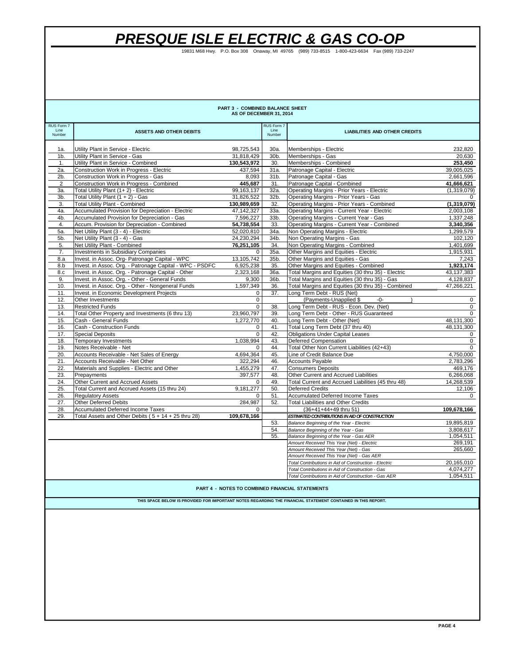19831 M68 Hwy. P.O. Box 308 Onaway, MI 49765 (989) 733-8515 1-800-423-6634 Fax (989) 733-2247

| PART 3 - COMBINED BALANCE SHEET<br>AS OF DECEMBER 31, 2014                                                   |                                                                              |                      |                |                                                        |                      |  |
|--------------------------------------------------------------------------------------------------------------|------------------------------------------------------------------------------|----------------------|----------------|--------------------------------------------------------|----------------------|--|
| RUS Form 7                                                                                                   |                                                                              |                      | RUS Form 7     |                                                        |                      |  |
| Line<br>Number                                                                                               | <b>ASSETS AND OTHER DEBITS</b>                                               |                      | Line<br>Number | <b>LIABILITIES AND OTHER CREDITS</b>                   |                      |  |
|                                                                                                              |                                                                              |                      |                |                                                        |                      |  |
| 1a.                                                                                                          | Utility Plant in Service - Electric                                          | 98,725,543           | 30a.           | Memberships - Electric                                 | 232,820              |  |
| 1 <sub>b</sub>                                                                                               | Utility Plant in Service - Gas                                               | 31,818,429           | 30b.           | Memberships - Gas                                      | 20,630               |  |
| 1.                                                                                                           | Utility Plant in Service - Combined                                          | 130,543,972          | 30.            | Memberships - Combined                                 | 253,450              |  |
| 2a.                                                                                                          | <b>Construction Work in Progress - Electric</b>                              | 437,594              | 31a.           | Patronage Capital - Electric                           | 39.005.025           |  |
| $2b$ .                                                                                                       | Construction Work in Progress - Gas                                          | 8,093                | 31b.           | Patronage Capital - Gas                                | 2,661,596            |  |
| $\overline{2}$                                                                                               | Construction Work in Progress - Combined                                     | 445,687              | 31.            | Patronage Capital - Combined                           | 41.666.621           |  |
| За.                                                                                                          | Total Utility Plant (1+2) - Electric                                         | 99, 163, 137         | 32a.           | Operating Margins - Prior Years - Electric             | (1,319,079)          |  |
| 3b.                                                                                                          | Total Utility Plant (1 + 2) - Gas                                            | 31,826,522           | 32b.           | Operating Margins - Prior Years - Gas                  | 0                    |  |
| 3.                                                                                                           | <b>Total Utility Plant - Combined</b>                                        | 130,989,659          | 32.            | Operating Margins - Prior Years - Combined             | (1,319,079)          |  |
| 4a.                                                                                                          | Accumulated Provision for Depreciation - Electric                            | 47,142,327           | 33a.           | Operating Margins - Current Year - Electric            | 2,003,108            |  |
| 4b.                                                                                                          | Accumulated Provision for Depreciation - Gas                                 | 7,596,227            | 33b.           | Operating Margins - Current Year - Gas                 | 1.337.248            |  |
| 4.                                                                                                           | Accum. Provision for Depreciation - Combined                                 | 54,738,554           | 33.            | Operating Margins - Current Year - Combined            | 3,340,356            |  |
| 5a.                                                                                                          | Net Utility Plant (3 - 4) - Electric                                         | 52,020,810           | 34a.           | Non Operating Margins - Electric                       | 1,299,579            |  |
| 5b.                                                                                                          | Net Utility Plant (3 - 4) - Gas                                              | 24,230,294           | 34b.           | Non Operating Margins - Gas                            | 102,120              |  |
| 5.                                                                                                           | Net Utility Plant - Combined                                                 | 76,251,105           | 34.            | Non Operating Margins - Combined                       | 1,401,699            |  |
| 7.                                                                                                           | Investments in Subsidiary Companies                                          | $\mathbf 0$          | 35a.           | Other Margins and Equities - Electric                  | 1,915,931            |  |
| 8.a                                                                                                          | Invest. in Assoc. Org- Patronage Capital - WPC                               | 13,105,742           | 35b.           | Other Margins and Equities - Gas                       | 7,243                |  |
| 8.b                                                                                                          | Invest. in Assoc. Org. - Patronage Capital - WPC - PSDFC                     | 6.925.238            | 35.            | Other Margins and Equities - Combined                  | 1.923.174            |  |
| 8.c                                                                                                          | Invest. in Assoc. Org. - Patronage Capital - Other                           | 2,323,168            | 36a.           | Total Margins and Equities (30 thru 35) - Electric     | 43,137,383           |  |
| 9.                                                                                                           | Invest. in Assoc. Org. - Other - General Funds                               | 9,300                | 36b.           | Total Margins and Equities (30 thru 35) - Gas          | 4,128,837            |  |
| 10.                                                                                                          | Invest. in Assoc. Org. - Other - Nongeneral Funds                            | 1,597,349            | 36.            | Total Margins and Equities (30 thru 35) - Combined     | 47,266,221           |  |
| 11.                                                                                                          | Invest. in Economic Development Projects                                     | $\mathbf 0$          | 37.            | Long Term Debt - RUS (Net)                             |                      |  |
| 12.                                                                                                          | Other Investments                                                            | $\mathbf 0$          |                | (Payments-Unapplied \$<br>-0-                          | $\mathbf{0}$         |  |
| 13.                                                                                                          | <b>Restricted Funds</b>                                                      | $\mathsf 0$          | 38.            | Long Term Debt - RUS - Econ. Dev. (Net)                | $\mathbf 0$          |  |
| 14.                                                                                                          | Total Other Property and Investments (6 thru 13)                             | 23,960,797           | 39.            | Long Term Debt - Other - RUS Guaranteed                | $\mathbf 0$          |  |
| 15.                                                                                                          | Cash - General Funds                                                         | 1,272,770            | 40.            | Long Term Debt - Other (Net)                           | 48,131,300           |  |
| 16.                                                                                                          | Cash - Construction Funds                                                    | 0                    | 41.            | Total Long Term Debt (37 thru 40)                      | 48,131,300           |  |
| 17.                                                                                                          | <b>Special Deposits</b>                                                      | $\mathbf 0$          | 42.            | <b>Obligations Under Capital Leases</b>                | $\mathbf 0$          |  |
| 18.                                                                                                          | <b>Temporary Investments</b>                                                 | 1.038.994            | 43.            | Deferred Compensation                                  | $\mathbf{0}$         |  |
| 19.                                                                                                          | Notes Receivable - Net                                                       | $\mathbf 0$          | 44.            | Total Other Non Current Liabilities (42+43)            | $\mathbf{0}$         |  |
| 20.<br>21.                                                                                                   | Accounts Receivable - Net Sales of Energy<br>Accounts Receivable - Net Other | 4,694,364            | 45.<br>46.     | Line of Credit Balance Due<br><b>Accounts Payable</b>  | 4,750,000            |  |
| 22.                                                                                                          | Materials and Supplies - Electric and Other                                  | 322,294              |                | <b>Consumers Deposits</b>                              | 2,783,296            |  |
| 23.                                                                                                          | Prepayments                                                                  | 1,455,279<br>397,577 | 47.<br>48.     | Other Current and Accrued Liabilities                  | 469,176<br>6,266,068 |  |
| 24.                                                                                                          | Other Current and Accrued Assets                                             | 0                    | 49.            | Total Current and Accrued Liabilities (45 thru 48)     | 14,268,539           |  |
| 25.                                                                                                          | Total Current and Accrued Assets (15 thru 24)                                | 9,181,277            | 50.            | <b>Deferred Credits</b>                                | 12,106               |  |
| 26.                                                                                                          | <b>Regulatory Assets</b>                                                     | $\mathbf 0$          | 51.            | <b>Accumulated Deferred Income Taxes</b>               | 0                    |  |
| 27.                                                                                                          | <b>Other Deferred Debits</b>                                                 | 284,987              | 52.            | <b>Total Liabilities and Other Credits</b>             |                      |  |
| 28.                                                                                                          | <b>Accumulated Deferred Income Taxes</b>                                     | $\Omega$             |                | (36+41+44+49 thru 51)                                  | 109,678,166          |  |
| 29.                                                                                                          | Total Assets and Other Debits ( $5 + 14 + 25$ thru 28)                       | 109,678,166          |                | ESTIMATED CONTRIBUTIONS IN AID OF CONSTRUCTION         |                      |  |
|                                                                                                              |                                                                              |                      | 53.            | Balance Beginning of the Year - Electric               | 19,895,819           |  |
|                                                                                                              |                                                                              |                      | 54.            | Balance Beginning of the Year - Gas                    | 3,808,617            |  |
|                                                                                                              |                                                                              |                      | 55.            | Balance Beginning of the Year - Gas AER                | 1,054,511            |  |
|                                                                                                              |                                                                              |                      |                | Amount Received This Year (Net) - Electric             | 269,191              |  |
|                                                                                                              |                                                                              |                      |                | Amount Received This Year (Net) - Gas                  | 265,660              |  |
|                                                                                                              |                                                                              |                      |                | Amount Received This Year (Net) - Gas AER              |                      |  |
|                                                                                                              | 20,165,010<br>Total Contributions in Aid of Construction - Electric          |                      |                |                                                        |                      |  |
|                                                                                                              |                                                                              |                      |                | Total Contributions in Aid of Construction - Gas       | 4,074,277            |  |
|                                                                                                              |                                                                              |                      |                | Total Contributions in Aid of Construction - Gas AER   | 1,054,511            |  |
|                                                                                                              |                                                                              |                      |                |                                                        |                      |  |
|                                                                                                              |                                                                              |                      |                | <b>PART 4 - NOTES TO COMBINED FINANCIAL STATEMENTS</b> |                      |  |
| THIS SPACE BELOW IS PROVIDED FOR IMPORTANT NOTES REGARDING THE FINANCIAL STATEMENT CONTAINED IN THIS REPORT. |                                                                              |                      |                |                                                        |                      |  |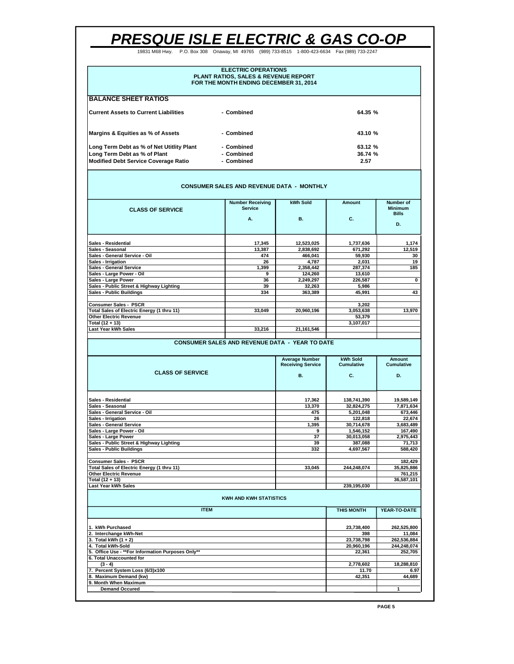19831 M68 Hwy. P.O. Box 308 Onaway, MI 49765 (989) 733-8515 1-800-423-6634 Fax (989) 733-2247

| <b>ELECTRIC OPERATIONS</b><br><b>PLANT RATIOS, SALES &amp; REVENUE REPORT</b><br>FOR THE MONTH ENDING DECEMBER 31, 2014 |            |         |  |  |  |  |  |
|-------------------------------------------------------------------------------------------------------------------------|------------|---------|--|--|--|--|--|
| <b>BALANCE SHEET RATIOS</b>                                                                                             |            |         |  |  |  |  |  |
| <b>Current Assets to Current Liabilities</b>                                                                            | - Combined | 64.35 % |  |  |  |  |  |
| Margins & Equities as % of Assets                                                                                       | - Combined | 43.10 % |  |  |  |  |  |
| Long Term Debt as % of Net Utitlity Plant                                                                               | - Combined | 63.12 % |  |  |  |  |  |
| Long Term Debt as % of Plant                                                                                            | - Combined | 36.74 % |  |  |  |  |  |
| <b>Modified Debt Service Coverage Ratio</b>                                                                             | - Combined | 2.57    |  |  |  |  |  |

#### **CONSUMER SALES AND REVENUE DATA - MONTHLY**

| <b>CLASS OF SERVICE</b>                           | <b>Number Receiving</b><br><b>Service</b><br>А. | kWh Sold<br><b>B.</b> | Amount<br>C. | Number of<br><b>Minimum</b><br><b>Bills</b> |
|---------------------------------------------------|-------------------------------------------------|-----------------------|--------------|---------------------------------------------|
|                                                   |                                                 |                       |              | D.                                          |
| <b>Sales - Residential</b>                        | 17,345                                          | 12,523,025            | 1,737,636    | 1,174                                       |
| Sales - Seasonal                                  | 13,387                                          | 2,838,692             | 671,292      | 12,519                                      |
| Sales - General Service - Oil                     | 474                                             | 466,041               | 59,930       | 30                                          |
| Sales - Irrigation                                | 26                                              | 4,787                 | 2,031        | 19                                          |
| <b>Sales - General Service</b>                    | 1.399                                           | 2,358,442             | 287.374      | 185                                         |
| Sales - Large Power - Oil                         | 9                                               | 124,260               | 13.610       |                                             |
| Sales - Large Power                               | 36                                              | 2,249,297             | 226,587      | 0                                           |
| Sales - Public Street & Highway Lighting          | 39                                              | 32,263                | 5,986        |                                             |
| <b>Sales - Public Buildings</b>                   | 334                                             | 363,389               | 45.991       | 43                                          |
| <b>Consumer Sales - PSCR</b>                      |                                                 |                       | 3.202        |                                             |
| <b>Total Sales of Electric Energy (1 thru 11)</b> | 33.049                                          | 20,960,196            | 3,053,638    | 13.970                                      |
| <b>Other Electric Revenue</b>                     |                                                 |                       | 53,379       |                                             |
| Total (12 + 13)                                   |                                                 |                       | 3,107,017    |                                             |
| Last Year kWh Sales                               | 33.216                                          | 21,161,546            |              |                                             |
|                                                   |                                                 |                       |              |                                             |

#### **CONSUMER SALES AND REVENUE DATA - YEAR TO DATE**

| <b>CLASS OF SERVICE</b>                    | <b>Average Number</b><br><b>Receiving Service</b><br><b>B.</b> | kWh Sold<br>Cumulative<br>C. | Amount<br><b>Cumulative</b><br>D. |
|--------------------------------------------|----------------------------------------------------------------|------------------------------|-----------------------------------|
|                                            |                                                                |                              |                                   |
| <b>Sales - Residential</b>                 | 17,362                                                         | 138,741,390                  | 19,589,149                        |
| Sales - Seasonal                           | 13,370                                                         | 32,824,275                   | 7,871,634                         |
| Sales - General Service - Oil              | 475                                                            | 5,201,048                    | 673,446                           |
| Sales - Irrigation                         | 26                                                             | 122.818                      | 22,674                            |
| <b>Sales - General Service</b>             | 1.395                                                          | 30,714,678                   | 3,683,489                         |
| Sales - Large Power - Oil                  | 9                                                              | 1,546,152                    | 167,490                           |
| Sales - Large Power                        | 37                                                             | 30.013.058                   | 2,975,443                         |
| Sales - Public Street & Highway Lighting   | 39                                                             | 387.088                      | 71.713                            |
| <b>Sales - Public Buildings</b>            | 332                                                            | 4,697,567                    | 588,420                           |
| <b>Consumer Sales - PSCR</b>               |                                                                |                              | 182,429                           |
| Total Sales of Electric Energy (1 thru 11) | 33,045                                                         | 244,248,074                  | 35,825,886                        |
| <b>Other Electric Revenue</b>              |                                                                |                              | 761,215                           |
| Total (12 + 13)                            |                                                                |                              | 36,587,101                        |
| Last Year kWh Sales                        |                                                                | 239.195.030                  |                                   |
|                                            | <b>KWH AND KWH STATISTICS</b>                                  |                              |                                   |
| <b>ITEM</b>                                |                                                                | <b>THIS MONTH</b>            | YEAR-TO-DATE                      |
| 1. kWh Purchased                           |                                                                | 23,738,400                   | 262,525,800                       |
| 2. Interchange kWh-Net                     |                                                                | 398                          | 11.084                            |
| 3 Total kWh $(1 + 2)$                      |                                                                | 23 738 798                   | <b>DR2 536 884</b>                |

| IZ. IIIICI UNIQING AVVII-IYGI                      | JJU        | .           |
|----------------------------------------------------|------------|-------------|
| 3. Total kWh $(1 + 2)$                             | 23.738.798 | 262.536.884 |
| 4. Total kWh-Sold                                  | 20.960.196 | 244.248.074 |
| 5. Office Use - ** For Information Purposes Only** | 22.361     | 252.705     |
| 6. Total Unaccounted for                           |            |             |
| $(3 - 4)$                                          | 2.778.602  | 18.288.810  |
| 7. Percent System Loss (6/3)x100                   | 11.70      | 6.97        |
| 8. Maximum Demand (kw)                             | 42.351     | 44.689      |
| 9. Month When Maximum                              |            |             |
| <b>Demand Occured</b>                              |            |             |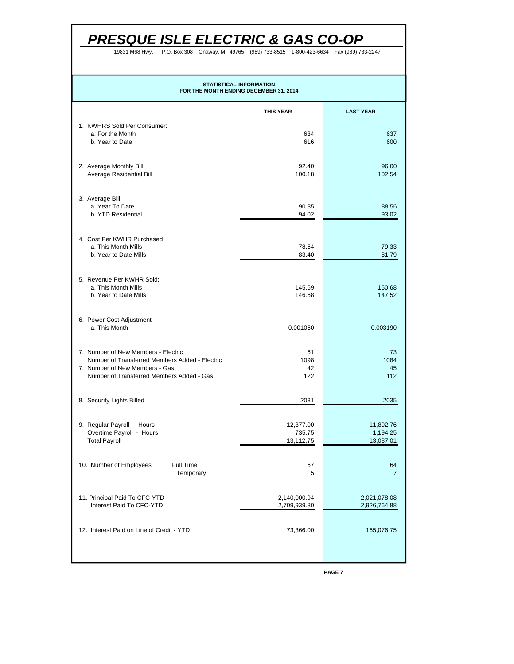P.O. Box 308 Onaway, MI 4976 19831 M68 Hwy. P.O. Box 308 Onaway, MI 49765 (989) 733-8515 1-800-423-6634 Fax (989) 733-2247

### **STATISTICAL INFORMATION FOR THE MONTH ENDING DECEMBER 31, 2014**

|                                                                                       | <b>THIS YEAR</b>                 | <b>LAST YEAR</b>                   |
|---------------------------------------------------------------------------------------|----------------------------------|------------------------------------|
| 1. KWHRS Sold Per Consumer:<br>a. For the Month                                       | 634                              | 637                                |
| b. Year to Date                                                                       | 616                              | 600                                |
| 2. Average Monthly Bill<br>Average Residential Bill                                   | 92.40<br>100.18                  | 96.00<br>102.54                    |
|                                                                                       |                                  |                                    |
| 3. Average Bill:<br>a. Year To Date<br>b. YTD Residential                             | 90.35<br>94.02                   | 88.56<br>93.02                     |
|                                                                                       |                                  |                                    |
| 4. Cost Per KWHR Purchased<br>a. This Month Mills                                     | 78.64                            | 79.33                              |
| b. Year to Date Mills                                                                 | 83.40                            | 81.79                              |
| 5. Revenue Per KWHR Sold:<br>a. This Month Mills                                      | 145.69                           | 150.68                             |
| b. Year to Date Mills                                                                 | 146.68                           | 147.52                             |
| 6. Power Cost Adjustment<br>a. This Month                                             | 0.001060                         | 0.003190                           |
|                                                                                       |                                  |                                    |
| 7. Number of New Members - Electric<br>Number of Transferred Members Added - Electric | 61<br>1098                       | 73<br>1084                         |
| 7. Number of New Members - Gas<br>Number of Transferred Members Added - Gas           | 42<br>122                        | 45<br>112                          |
| 8. Security Lights Billed                                                             | 2031                             | 2035                               |
| 9. Regular Payroll - Hours                                                            |                                  |                                    |
| Overtime Payroll - Hours<br><b>Total Payroll</b>                                      | 12,377.00<br>735.75<br>13,112.75 | 11,892.76<br>1,194.25<br>13,087.01 |
|                                                                                       |                                  |                                    |
| 10. Number of Employees<br>Full Time<br>Temporary                                     | 67<br>5                          | 64<br>7                            |
| 11. Principal Paid To CFC-YTD                                                         | 2,140,000.94                     | 2,021,078.08                       |
| Interest Paid To CFC-YTD                                                              | 2,709,939.80                     | 2,926,764.88                       |
| 12. Interest Paid on Line of Credit - YTD                                             | 73,366.00                        | 165,076.75                         |
|                                                                                       |                                  |                                    |
|                                                                                       |                                  |                                    |

**PAGE 7**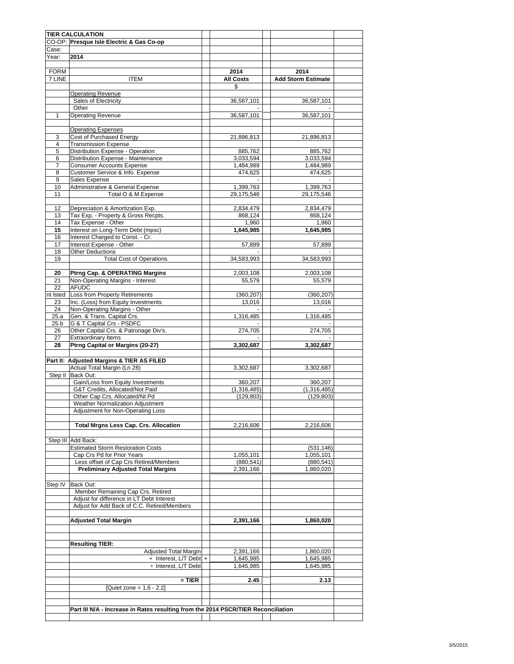|             | <b>TIER CALCULATION</b>                                                           |                  |                           |  |
|-------------|-----------------------------------------------------------------------------------|------------------|---------------------------|--|
|             | CO-OP: Presque Isle Electric & Gas Co-op                                          |                  |                           |  |
| Case:       |                                                                                   |                  |                           |  |
| Year:       | 2014                                                                              |                  |                           |  |
|             |                                                                                   |                  |                           |  |
|             |                                                                                   | 2014             |                           |  |
| <b>FORM</b> |                                                                                   |                  | 2014                      |  |
| 7 LINE      | <b>ITEM</b>                                                                       | <b>All Costs</b> | <b>Add Storm Estimate</b> |  |
|             |                                                                                   | \$               |                           |  |
|             | <b>Operating Revenue</b>                                                          |                  |                           |  |
|             | Sales of Electricity                                                              | 36,587,101       | 36,587,101                |  |
|             | Other                                                                             |                  |                           |  |
| 1           | <b>Operating Revenue</b>                                                          | 36,587,101       | 36,587,101                |  |
|             |                                                                                   |                  |                           |  |
|             | <b>Operating Expenses</b>                                                         |                  |                           |  |
| 3           | Cost of Purchased Energy                                                          | 21,896,813       | 21,896,813                |  |
| 4           | <b>Transmission Expense</b>                                                       |                  |                           |  |
| 5           | Distribution Expense - Operation                                                  | 885,762          | 885,762                   |  |
| 6           | Distribution Expense - Maintenance                                                | 3,033,594        | 3,033,594                 |  |
| 7           | <b>Consumer Accounts Expense</b>                                                  |                  |                           |  |
|             |                                                                                   | 1,484,989        | 1,484,989<br>474,625      |  |
| 8           | Customer Service & Info. Expense                                                  | 474,625          |                           |  |
| 9           | Sales Expense                                                                     |                  |                           |  |
| 10          | Administrative & General Expense                                                  | 1,399,763        | 1,399,763                 |  |
| 11          | Total O & M Expense                                                               | 29,175,546       | 29,175,546                |  |
|             |                                                                                   |                  |                           |  |
| 12          | Depreciation & Amortization Exp.                                                  | 2,834,479        | 2,834,479                 |  |
| 13          | Tax Exp. - Property & Gross Recpts.                                               | 868,124          | 868,124                   |  |
| 14          | Tax Expense - Other                                                               | 1,960            | 1,960                     |  |
| 15          | Interest on Long-Term Debt (mpsc)                                                 | 1,645,985        | 1,645,985                 |  |
| 16          | Interest Charged to Const. - Cr.                                                  |                  |                           |  |
| 17          | Interest Expense - Other                                                          | 57,899           | 57,899                    |  |
| 18          | <b>Other Deductions</b>                                                           |                  |                           |  |
| 19          | <b>Total Cost of Operations</b>                                                   | 34,583,993       | 34,583,993                |  |
|             |                                                                                   |                  |                           |  |
|             |                                                                                   |                  |                           |  |
| 20          | Ptrng Cap. & OPERATING Margins                                                    | 2,003,108        | 2,003,108                 |  |
| 21          | Non-Operating Margins - Interest                                                  | 55,579           | 55,579                    |  |
| 22          | <b>AFUDC</b>                                                                      |                  |                           |  |
| nt Isted    | Loss from Property Retirements                                                    | (360, 207)       | (360, 207)                |  |
| 23          | Inc. (Loss) from Equity Investments                                               | 13,016           | 13,016                    |  |
| 24          | Non-Operating Margins - Other                                                     |                  |                           |  |
| 25.a        | Gen. & Trans. Capital Crs.                                                        | 1,316,485        | 1,316,485                 |  |
| 25.b        | G & T Capital Crs - PSDFC                                                         |                  |                           |  |
| 26          | Other Capital Crs. & Patronage Div's.                                             | 274,705          | 274,705                   |  |
| 27          | <b>Extraordinary Items</b>                                                        |                  |                           |  |
| 28          | Ptrng Capital or Margins (20-27)                                                  | 3,302,687        | 3,302,687                 |  |
|             |                                                                                   |                  |                           |  |
|             |                                                                                   |                  |                           |  |
|             | Part II: Adjusted Margins & TIER AS FILED                                         |                  |                           |  |
|             | Actual Total Margin (Ln 28)                                                       | 3,302,687        | 3,302,687                 |  |
|             | Step II Back Out:                                                                 |                  |                           |  |
|             | Gain/Loss from Equity Investments                                                 | 360,207          | 360,207                   |  |
|             | G&T Credits, Allocated/Not Paid                                                   | (1,316,485)      | (1,316,485)               |  |
|             | Other Cap Crs, Allocated/Nt Pd                                                    | (129, 803)       | (129, 803)                |  |
|             | Weather Normalization Adjustment                                                  |                  |                           |  |
|             | Adjustment for Non-Operating Loss                                                 |                  |                           |  |
|             |                                                                                   |                  |                           |  |
|             | <b>Total Mrgns Less Cap. Crs. Allocation</b>                                      | 2,216,606        | 2,216,606                 |  |
|             |                                                                                   |                  |                           |  |
|             |                                                                                   |                  |                           |  |
|             | Step III Add Back:                                                                |                  |                           |  |
|             | <b>Estimated Storm Restoration Costs</b>                                          |                  | (531, 146)                |  |
|             | Cap Crs Pd for Prior Years                                                        | 1,055,101        | 1,055,101                 |  |
|             | Less offset of Cap Crs Retired/Members                                            | (880, 541)       | (880, 541)                |  |
|             | <b>Preliminary Adjusted Total Margins</b>                                         | 2,391,166        | 1,860,020                 |  |
|             |                                                                                   |                  |                           |  |
| Step IV     | Back Out:                                                                         |                  |                           |  |
|             | Member Remaining Cap Crs. Retired                                                 |                  |                           |  |
|             | Adjust for difference in LT Debt Interest                                         |                  |                           |  |
|             | Adjust for Add Back of C.C. Retired/Members                                       |                  |                           |  |
|             |                                                                                   |                  |                           |  |
|             |                                                                                   |                  |                           |  |
|             | <b>Adjusted Total Margin</b>                                                      | 2,391,166        | 1,860,020                 |  |
|             |                                                                                   |                  |                           |  |
|             |                                                                                   |                  |                           |  |
|             | <b>Resulting TIER:</b>                                                            |                  |                           |  |
|             | <b>Adjusted Total Margin</b>                                                      | 2,391,166        | 1,860,020                 |  |
|             | + Interest, L/T Debt +                                                            | 1,645,985        | 1,645,985                 |  |
|             |                                                                                   |                  |                           |  |
|             | ÷ Interest, L/T Debt                                                              | 1,645,985        | 1,645,985                 |  |
|             |                                                                                   |                  |                           |  |
|             | $=$ TIER                                                                          | 2.45             | 2.13                      |  |
|             | [Quiet zone = $1.6 - 2.2$ ]                                                       |                  |                           |  |
|             |                                                                                   |                  |                           |  |
|             |                                                                                   |                  |                           |  |
|             | Part III N/A - Increase in Rates resulting from the 2014 PSCR/TIER Reconciliation |                  |                           |  |
|             |                                                                                   |                  |                           |  |
|             |                                                                                   |                  |                           |  |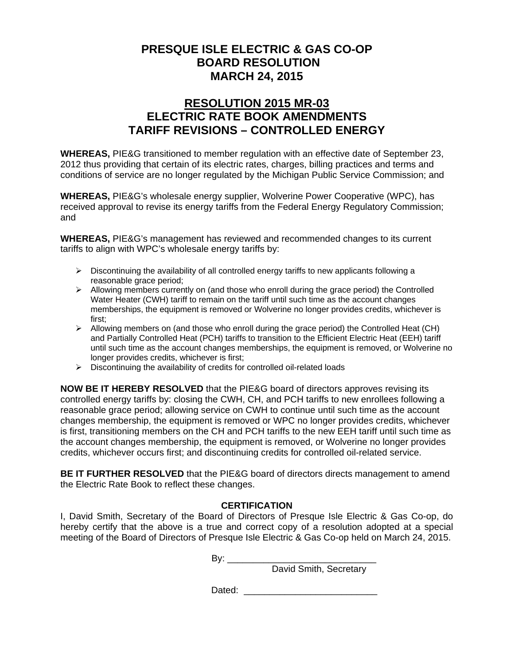### **RESOLUTION 2015 MR-03 ELECTRIC RATE BOOK AMENDMENTS TARIFF REVISIONS – CONTROLLED ENERGY**

**WHEREAS,** PIE&G transitioned to member regulation with an effective date of September 23, 2012 thus providing that certain of its electric rates, charges, billing practices and terms and conditions of service are no longer regulated by the Michigan Public Service Commission; and

**WHEREAS,** PIE&G's wholesale energy supplier, Wolverine Power Cooperative (WPC), has received approval to revise its energy tariffs from the Federal Energy Regulatory Commission; and

**WHEREAS,** PIE&G's management has reviewed and recommended changes to its current tariffs to align with WPC's wholesale energy tariffs by:

- $\triangleright$  Discontinuing the availability of all controlled energy tariffs to new applicants following a reasonable grace period;
- $\triangleright$  Allowing members currently on (and those who enroll during the grace period) the Controlled Water Heater (CWH) tariff to remain on the tariff until such time as the account changes memberships, the equipment is removed or Wolverine no longer provides credits, whichever is first;
- $\triangleright$  Allowing members on (and those who enroll during the grace period) the Controlled Heat (CH) and Partially Controlled Heat (PCH) tariffs to transition to the Efficient Electric Heat (EEH) tariff until such time as the account changes memberships, the equipment is removed, or Wolverine no longer provides credits, whichever is first;
- $\triangleright$  Discontinuing the availability of credits for controlled oil-related loads

**NOW BE IT HEREBY RESOLVED** that the PIE&G board of directors approves revising its controlled energy tariffs by: closing the CWH, CH, and PCH tariffs to new enrollees following a reasonable grace period; allowing service on CWH to continue until such time as the account changes membership, the equipment is removed or WPC no longer provides credits, whichever is first, transitioning members on the CH and PCH tariffs to the new EEH tariff until such time as the account changes membership, the equipment is removed, or Wolverine no longer provides credits, whichever occurs first; and discontinuing credits for controlled oil-related service.

**BE IT FURTHER RESOLVED** that the PIE&G board of directors directs management to amend the Electric Rate Book to reflect these changes.

### **CERTIFICATION**

I, David Smith, Secretary of the Board of Directors of Presque Isle Electric & Gas Co-op, do hereby certify that the above is a true and correct copy of a resolution adopted at a special meeting of the Board of Directors of Presque Isle Electric & Gas Co-op held on March 24, 2015.

By: \_\_\_\_\_\_\_\_\_\_\_\_\_\_\_\_\_\_\_\_\_\_\_\_\_\_\_\_\_

David Smith, Secretary

Dated: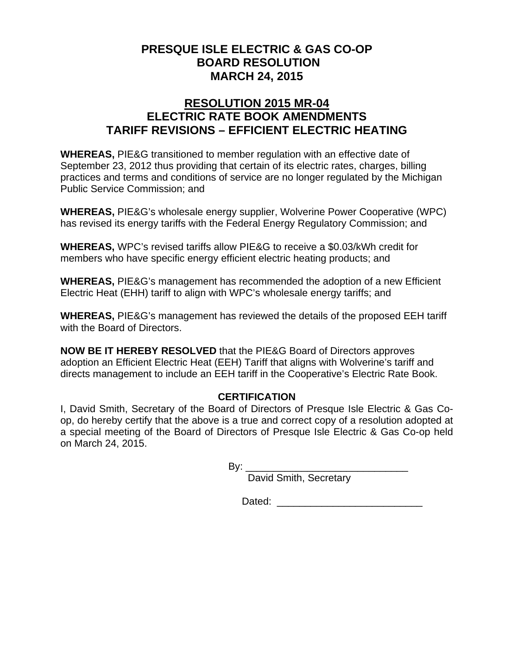### **RESOLUTION 2015 MR-04 ELECTRIC RATE BOOK AMENDMENTS TARIFF REVISIONS – EFFICIENT ELECTRIC HEATING**

**WHEREAS,** PIE&G transitioned to member regulation with an effective date of September 23, 2012 thus providing that certain of its electric rates, charges, billing practices and terms and conditions of service are no longer regulated by the Michigan Public Service Commission; and

**WHEREAS,** PIE&G's wholesale energy supplier, Wolverine Power Cooperative (WPC) has revised its energy tariffs with the Federal Energy Regulatory Commission; and

**WHEREAS,** WPC's revised tariffs allow PIE&G to receive a \$0.03/kWh credit for members who have specific energy efficient electric heating products; and

**WHEREAS,** PIE&G's management has recommended the adoption of a new Efficient Electric Heat (EHH) tariff to align with WPC's wholesale energy tariffs; and

**WHEREAS,** PIE&G's management has reviewed the details of the proposed EEH tariff with the Board of Directors.

**NOW BE IT HEREBY RESOLVED** that the PIE&G Board of Directors approves adoption an Efficient Electric Heat (EEH) Tariff that aligns with Wolverine's tariff and directs management to include an EEH tariff in the Cooperative's Electric Rate Book.

### **CERTIFICATION**

I, David Smith, Secretary of the Board of Directors of Presque Isle Electric & Gas Coop, do hereby certify that the above is a true and correct copy of a resolution adopted at a special meeting of the Board of Directors of Presque Isle Electric & Gas Co-op held on March 24, 2015.

 $\mathsf{B} \mathsf{v}$ :

David Smith, Secretary

Dated: \_\_\_\_\_\_\_\_\_\_\_\_\_\_\_\_\_\_\_\_\_\_\_\_\_\_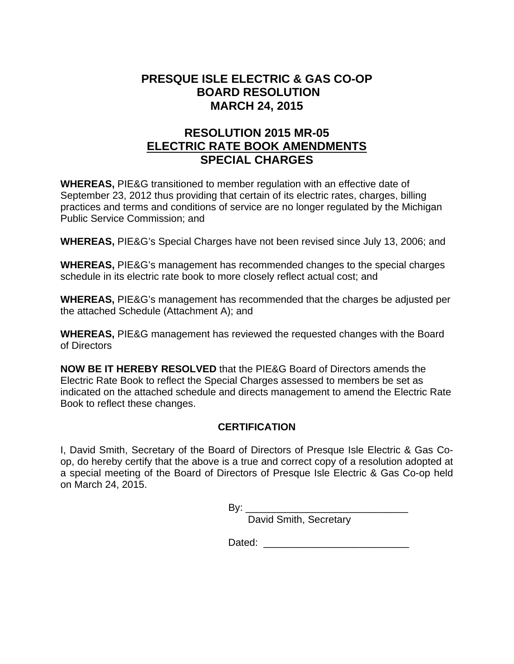# **RESOLUTION 2015 MR-05 ELECTRIC RATE BOOK AMENDMENTS SPECIAL CHARGES**

**WHEREAS,** PIE&G transitioned to member regulation with an effective date of September 23, 2012 thus providing that certain of its electric rates, charges, billing practices and terms and conditions of service are no longer regulated by the Michigan Public Service Commission; and

**WHEREAS,** PIE&G's Special Charges have not been revised since July 13, 2006; and

**WHEREAS,** PIE&G's management has recommended changes to the special charges schedule in its electric rate book to more closely reflect actual cost; and

**WHEREAS,** PIE&G's management has recommended that the charges be adjusted per the attached Schedule (Attachment A); and

**WHEREAS,** PIE&G management has reviewed the requested changes with the Board of Directors

**NOW BE IT HEREBY RESOLVED** that the PIE&G Board of Directors amends the Electric Rate Book to reflect the Special Charges assessed to members be set as indicated on the attached schedule and directs management to amend the Electric Rate Book to reflect these changes.

### **CERTIFICATION**

I, David Smith, Secretary of the Board of Directors of Presque Isle Electric & Gas Coop, do hereby certify that the above is a true and correct copy of a resolution adopted at a special meeting of the Board of Directors of Presque Isle Electric & Gas Co-op held on March 24, 2015.

David Smith, Secretary

Dated: \_\_\_\_\_\_\_\_\_\_\_\_\_\_\_\_\_\_\_\_\_\_\_\_\_\_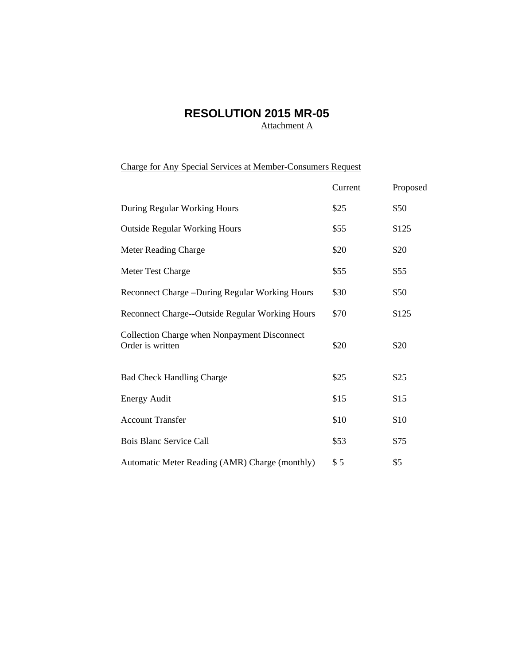# **RESOLUTION 2015 MR-05**

Attachment A

Charge for Any Special Services at Member-Consumers Request

|                                                                  | Current | Proposed |
|------------------------------------------------------------------|---------|----------|
| During Regular Working Hours                                     | \$25    | \$50     |
| <b>Outside Regular Working Hours</b>                             | \$55    | \$125    |
| <b>Meter Reading Charge</b>                                      | \$20    | \$20     |
| Meter Test Charge                                                | \$55    | \$55     |
| Reconnect Charge – During Regular Working Hours                  | \$30    | \$50     |
| Reconnect Charge--Outside Regular Working Hours                  | \$70    | \$125    |
| Collection Charge when Nonpayment Disconnect<br>Order is written | \$20    | \$20     |
| <b>Bad Check Handling Charge</b>                                 | \$25    | \$25     |
| <b>Energy Audit</b>                                              | \$15    | \$15     |
| <b>Account Transfer</b>                                          | \$10    | \$10     |
| <b>Bois Blanc Service Call</b>                                   | \$53    | \$75     |
| Automatic Meter Reading (AMR) Charge (monthly)                   | \$5     | \$5      |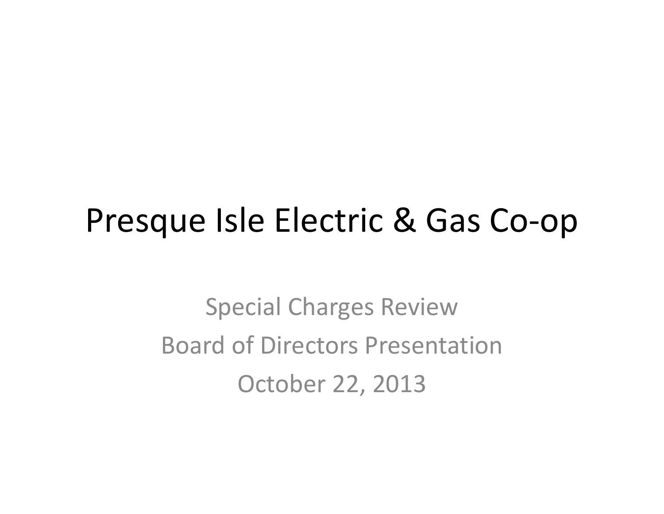# Presque Isle Electric & Gas Co‐op

Special Charges Review Board of Directors Presentation October 22, 2013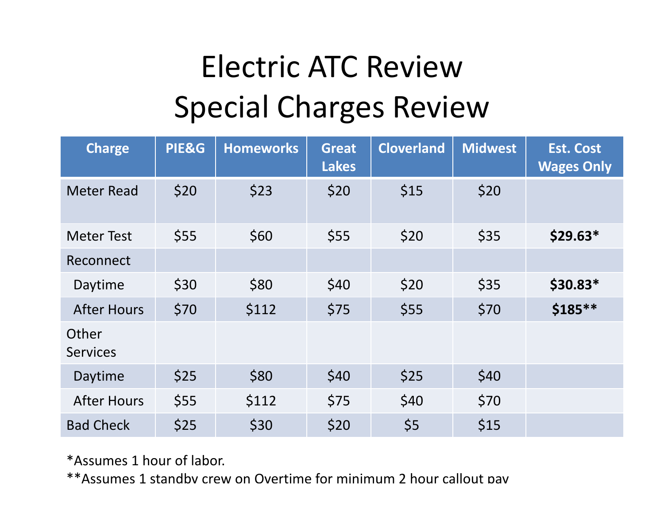# Electric ATC ReviewSpecial Charges Review

| <b>Charge</b>            | PIE&G | <b>Homeworks</b> | <b>Great</b><br><b>Lakes</b> | <b>Cloverland</b> | <b>Midwest</b> | <b>Est. Cost</b><br><b>Wages Only</b> |
|--------------------------|-------|------------------|------------------------------|-------------------|----------------|---------------------------------------|
| <b>Meter Read</b>        | \$20  | \$23             | \$20                         | \$15              | \$20           |                                       |
| <b>Meter Test</b>        | \$55  | \$60             | \$55                         | \$20              | \$35           | $$29.63*$                             |
| Reconnect                |       |                  |                              |                   |                |                                       |
| Daytime                  | \$30  | \$80             | \$40                         | \$20              | \$35           | $$30.83*$                             |
| <b>After Hours</b>       | \$70  | \$112            | \$75                         | \$55              | \$70           | \$185**                               |
| Other<br><b>Services</b> |       |                  |                              |                   |                |                                       |
| Daytime                  | \$25  | \$80             | \$40                         | \$25              | \$40           |                                       |
| <b>After Hours</b>       | \$55  | \$112            | \$75                         | \$40              | \$70           |                                       |
| <b>Bad Check</b>         | \$25  | \$30             | \$20                         | \$5               | \$15           |                                       |

\*Assumes 1 hour of labor.

\*\*Assumes 1 standby crew on Overtime for minimum 2 hour callout pay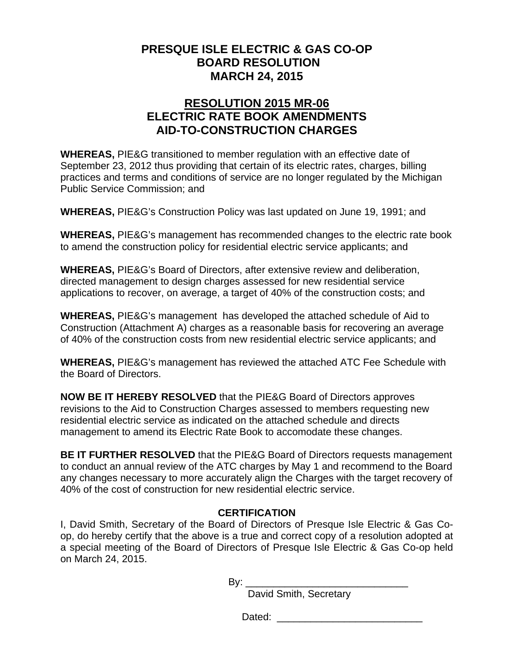## **RESOLUTION 2015 MR-06 ELECTRIC RATE BOOK AMENDMENTS AID-TO-CONSTRUCTION CHARGES**

**WHEREAS,** PIE&G transitioned to member regulation with an effective date of September 23, 2012 thus providing that certain of its electric rates, charges, billing practices and terms and conditions of service are no longer regulated by the Michigan Public Service Commission; and

**WHEREAS,** PIE&G's Construction Policy was last updated on June 19, 1991; and

**WHEREAS,** PIE&G's management has recommended changes to the electric rate book to amend the construction policy for residential electric service applicants; and

**WHEREAS,** PIE&G's Board of Directors, after extensive review and deliberation, directed management to design charges assessed for new residential service applications to recover, on average, a target of 40% of the construction costs; and

**WHEREAS,** PIE&G's management has developed the attached schedule of Aid to Construction (Attachment A) charges as a reasonable basis for recovering an average of 40% of the construction costs from new residential electric service applicants; and

**WHEREAS,** PIE&G's management has reviewed the attached ATC Fee Schedule with the Board of Directors.

**NOW BE IT HEREBY RESOLVED** that the PIE&G Board of Directors approves revisions to the Aid to Construction Charges assessed to members requesting new residential electric service as indicated on the attached schedule and directs management to amend its Electric Rate Book to accomodate these changes.

**BE IT FURTHER RESOLVED** that the PIE&G Board of Directors requests management to conduct an annual review of the ATC charges by May 1 and recommend to the Board any changes necessary to more accurately align the Charges with the target recovery of 40% of the cost of construction for new residential electric service.

### **CERTIFICATION**

I, David Smith, Secretary of the Board of Directors of Presque Isle Electric & Gas Coop, do hereby certify that the above is a true and correct copy of a resolution adopted at a special meeting of the Board of Directors of Presque Isle Electric & Gas Co-op held on March 24, 2015.

By: \_\_\_\_\_\_\_\_\_\_\_\_\_\_\_\_\_\_\_\_\_\_\_\_\_\_\_\_\_

David Smith, Secretary

Dated: \_\_\_\_\_\_\_\_\_\_\_\_\_\_\_\_\_\_\_\_\_\_\_\_\_\_